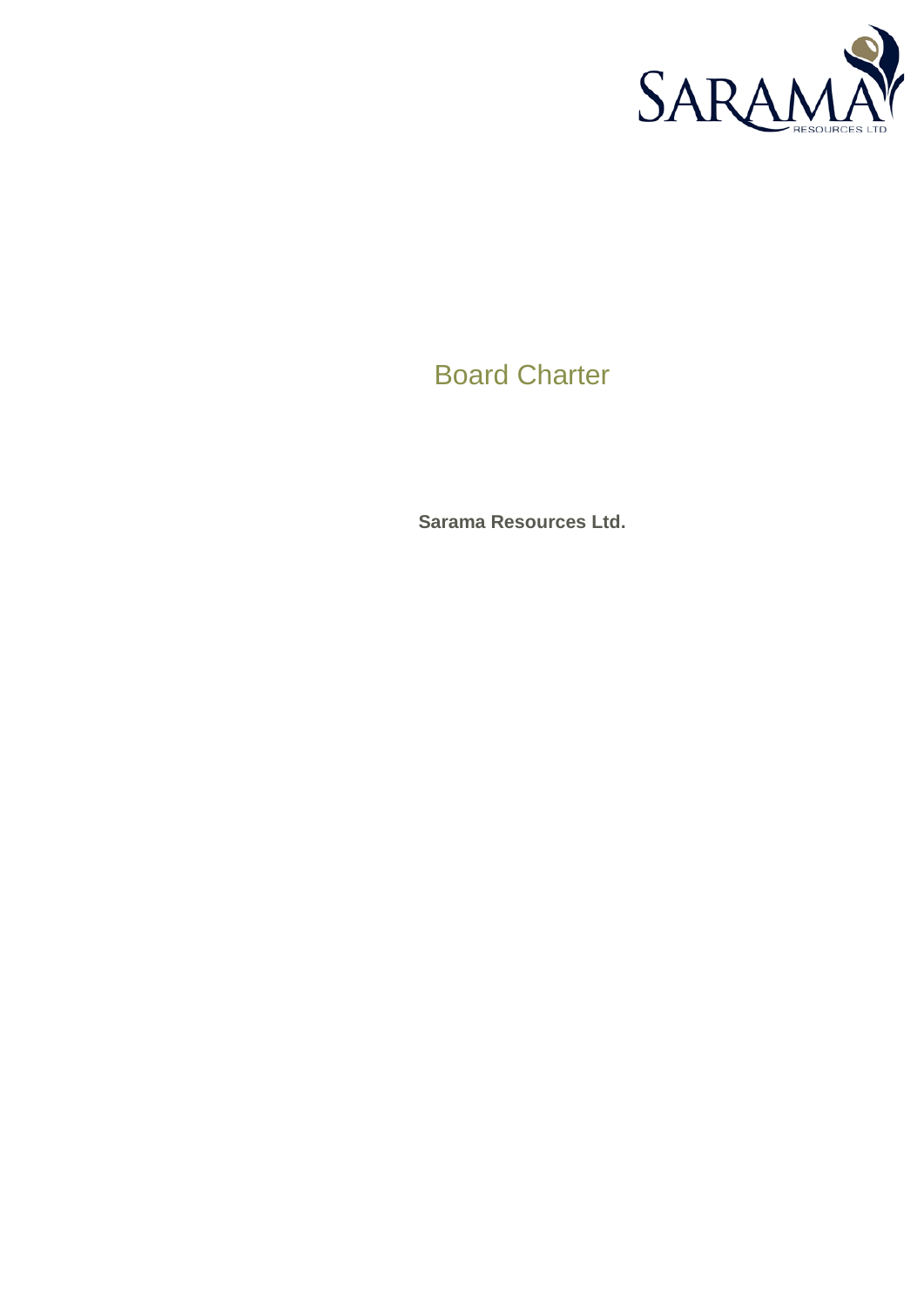

# Board Charter

**Sarama Resources Ltd.**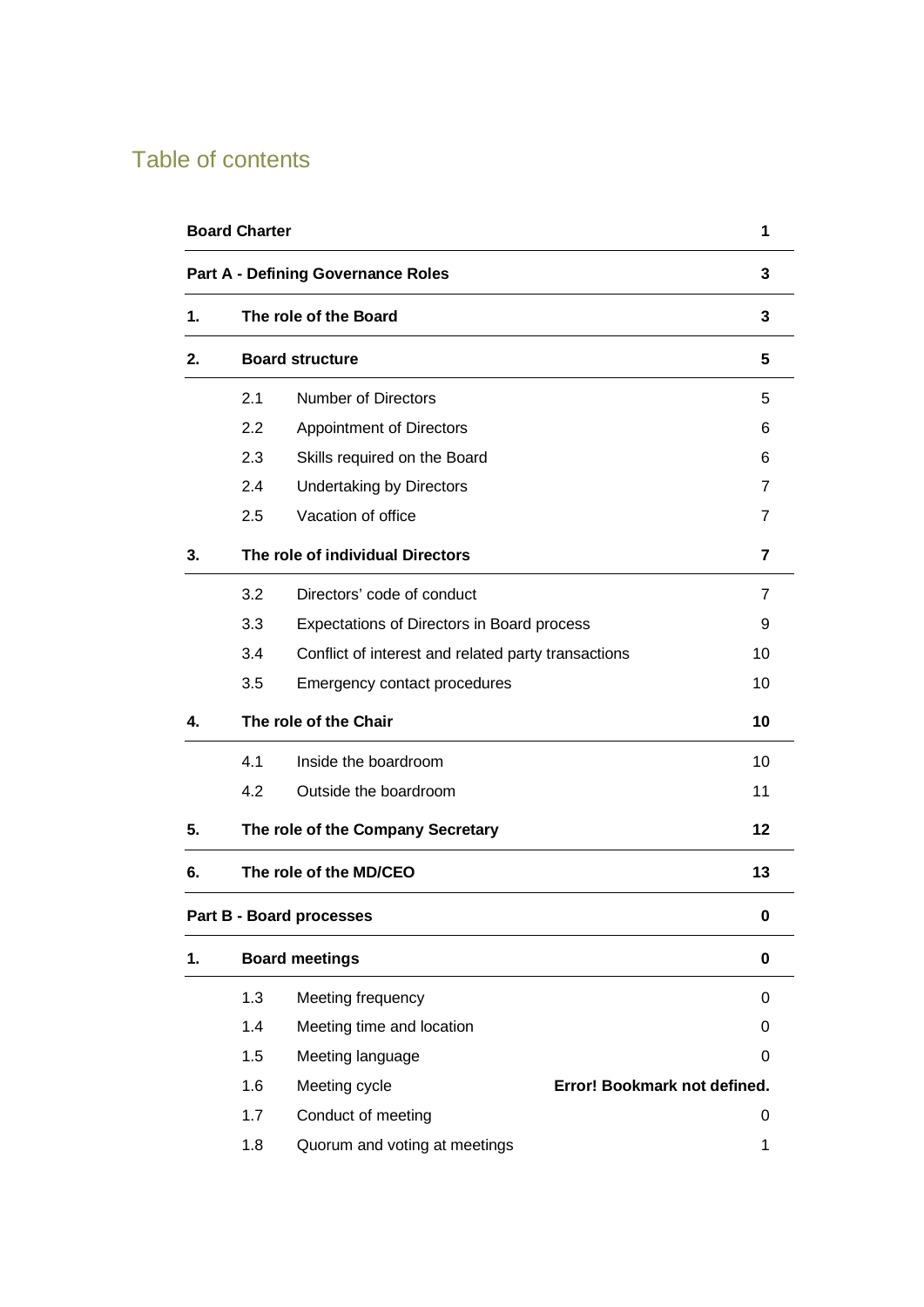# Table of contents

| <b>Board Charter</b><br><b>Part A - Defining Governance Roles</b> |                                                      |                                                     |    |    |
|-------------------------------------------------------------------|------------------------------------------------------|-----------------------------------------------------|----|----|
|                                                                   |                                                      |                                                     |    |    |
| 2.                                                                |                                                      |                                                     |    |    |
|                                                                   | 2.1                                                  | <b>Number of Directors</b>                          |    | 5  |
|                                                                   | 2.2                                                  | <b>Appointment of Directors</b>                     |    | 6  |
|                                                                   | 2.3                                                  | Skills required on the Board                        |    | 6  |
|                                                                   | 2.4                                                  | <b>Undertaking by Directors</b>                     |    | 7  |
|                                                                   | 2.5                                                  | Vacation of office                                  |    | 7  |
| 3.                                                                | The role of individual Directors                     |                                                     |    | 7  |
|                                                                   | 3.2                                                  | Directors' code of conduct                          |    | 7  |
|                                                                   | 3.3                                                  | Expectations of Directors in Board process          |    | 9  |
|                                                                   | 3.4                                                  | Conflict of interest and related party transactions |    | 10 |
|                                                                   | 3.5                                                  | Emergency contact procedures                        |    | 10 |
| 4.                                                                | The role of the Chair                                |                                                     |    | 10 |
|                                                                   | 4.1                                                  | Inside the boardroom                                |    | 10 |
|                                                                   | 4.2                                                  | Outside the boardroom                               |    | 11 |
| 5.                                                                | The role of the Company Secretary                    |                                                     | 12 |    |
| 6.                                                                | The role of the MD/CEO                               |                                                     | 13 |    |
|                                                                   |                                                      | Part B - Board processes                            |    | 0  |
| 1.                                                                | <b>Board meetings</b>                                |                                                     |    | 0  |
|                                                                   | 1.3                                                  | Meeting frequency                                   |    | 0  |
|                                                                   | 1.4                                                  | Meeting time and location                           |    | 0  |
|                                                                   | 1.5                                                  | Meeting language                                    |    | 0  |
|                                                                   | 1.6<br>Meeting cycle<br>Error! Bookmark not defined. |                                                     |    |    |
|                                                                   | 1.7                                                  | Conduct of meeting                                  |    | 0  |
|                                                                   | 1.8                                                  | Quorum and voting at meetings                       |    | 1  |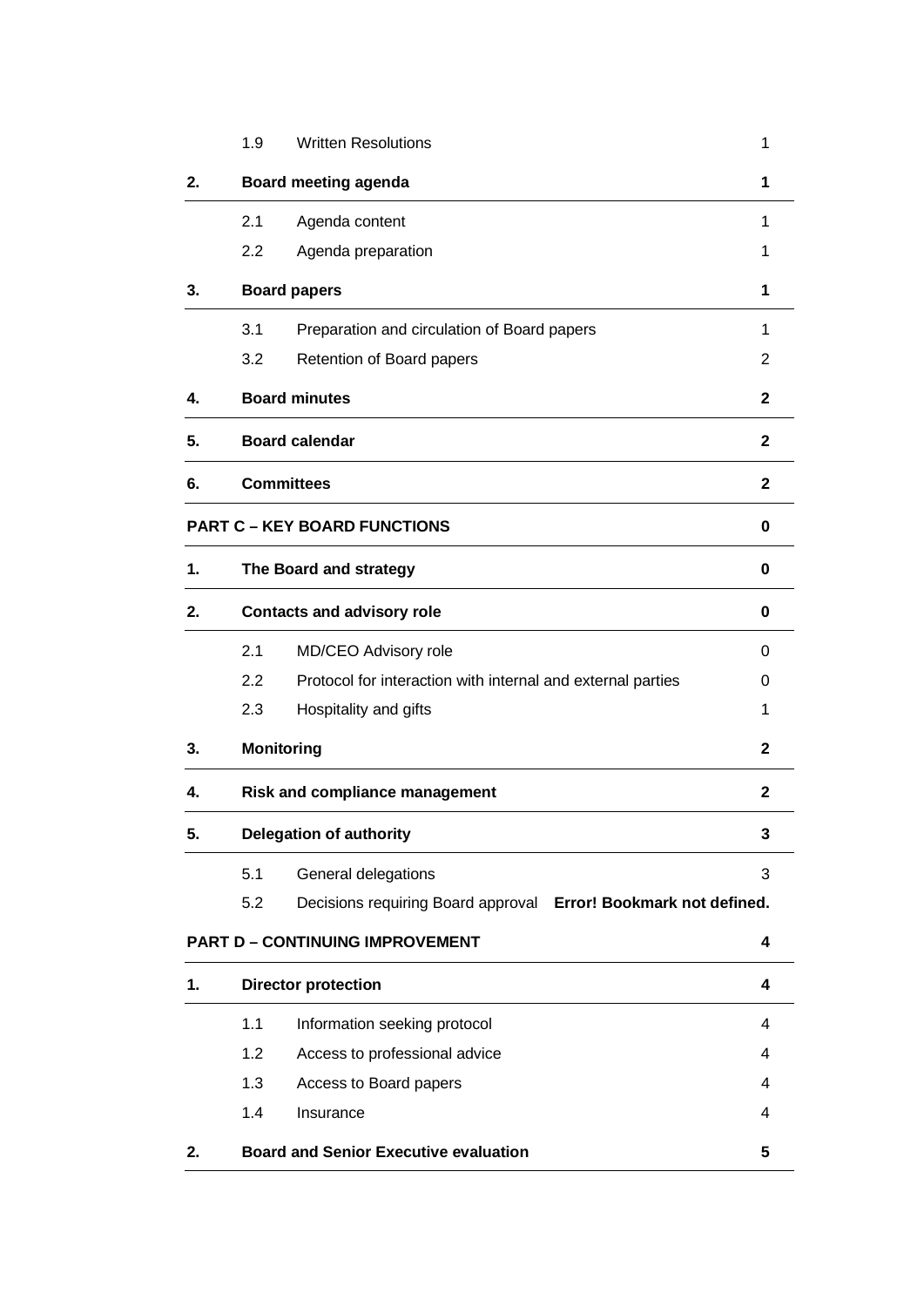|                                     | 1.9                               | <b>Written Resolutions</b>                                      | 1                       |  |  |
|-------------------------------------|-----------------------------------|-----------------------------------------------------------------|-------------------------|--|--|
| 2.                                  |                                   | <b>Board meeting agenda</b>                                     | 1                       |  |  |
|                                     | 2.1                               | Agenda content                                                  | 1                       |  |  |
|                                     | 2.2                               | Agenda preparation                                              | 1                       |  |  |
| 3.                                  |                                   | <b>Board papers</b>                                             | 1                       |  |  |
|                                     | 3.1                               | Preparation and circulation of Board papers                     | 1                       |  |  |
|                                     | 3.2                               | Retention of Board papers                                       | 2                       |  |  |
| 4.                                  |                                   | <b>Board minutes</b>                                            | $\mathbf{2}$            |  |  |
| 5.                                  |                                   | <b>Board calendar</b>                                           | $\mathbf{2}$            |  |  |
| 6.                                  |                                   | <b>Committees</b>                                               | $\mathbf{2}$            |  |  |
| <b>PART C - KEY BOARD FUNCTIONS</b> |                                   |                                                                 |                         |  |  |
| $\mathbf 1$ .                       |                                   | The Board and strategy                                          | 0                       |  |  |
| 2.                                  | <b>Contacts and advisory role</b> |                                                                 | $\bf{0}$                |  |  |
|                                     | 2.1                               | MD/CEO Advisory role                                            | 0                       |  |  |
|                                     | 2.2                               | Protocol for interaction with internal and external parties     | 0                       |  |  |
|                                     | 2.3                               | Hospitality and gifts                                           | 1                       |  |  |
| 3.                                  |                                   | <b>Monitoring</b>                                               | $\mathbf{2}$            |  |  |
| 4.                                  |                                   | <b>Risk and compliance management</b>                           | $\mathbf{2}$            |  |  |
| 5.                                  |                                   | <b>Delegation of authority</b>                                  | 3                       |  |  |
|                                     | 5.1                               | General delegations                                             | 3                       |  |  |
|                                     | 5.2                               | Decisions requiring Board approval Error! Bookmark not defined. |                         |  |  |
|                                     |                                   | <b>PART D - CONTINUING IMPROVEMENT</b>                          | 4                       |  |  |
| 1.                                  |                                   | <b>Director protection</b>                                      | $\overline{\mathbf{4}}$ |  |  |
|                                     | 1.1                               | Information seeking protocol                                    | 4                       |  |  |
|                                     | 1.2                               | Access to professional advice                                   | 4                       |  |  |
|                                     | 1.3                               | Access to Board papers                                          | 4                       |  |  |
|                                     | 1.4                               | Insurance                                                       | 4                       |  |  |
| 2.                                  |                                   | <b>Board and Senior Executive evaluation</b>                    | 5                       |  |  |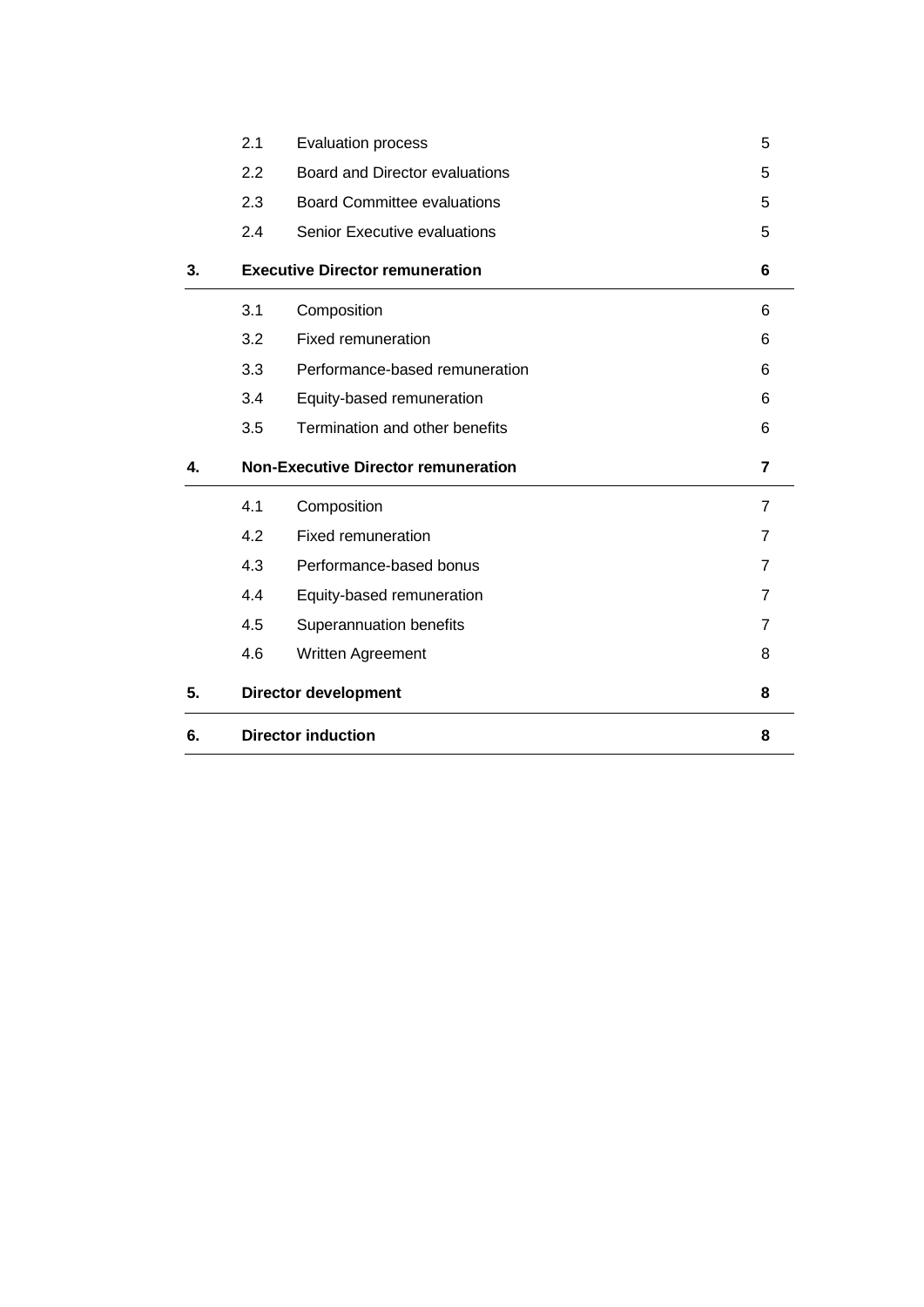| 5. | <b>Director development</b> |                                            | 8              |
|----|-----------------------------|--------------------------------------------|----------------|
|    | 4.6                         | Written Agreement                          | 8              |
|    | 4.5                         | Superannuation benefits                    | 7              |
|    | 4.4                         | Equity-based remuneration                  | 7              |
|    | 4.3                         | Performance-based bonus                    | 7              |
|    | 4.2                         | <b>Fixed remuneration</b>                  | $\overline{7}$ |
|    | 4.1                         | Composition                                | $\overline{7}$ |
| 4. |                             | <b>Non-Executive Director remuneration</b> | 7              |
|    | 3.5                         | Termination and other benefits             | 6              |
|    | 3.4                         | Equity-based remuneration                  | 6              |
|    | 3.3                         | Performance-based remuneration             | 6              |
|    | 3.2                         | <b>Fixed remuneration</b>                  | 6              |
|    | 3.1                         | Composition                                | 6              |
| 3. |                             | <b>Executive Director remuneration</b>     | 6              |
|    | 2.4                         | <b>Senior Executive evaluations</b>        | 5              |
|    | 2.3                         | <b>Board Committee evaluations</b>         | 5              |
|    | 2.2                         | Board and Director evaluations             | 5              |
|    | 2.1                         | <b>Evaluation process</b>                  | 5              |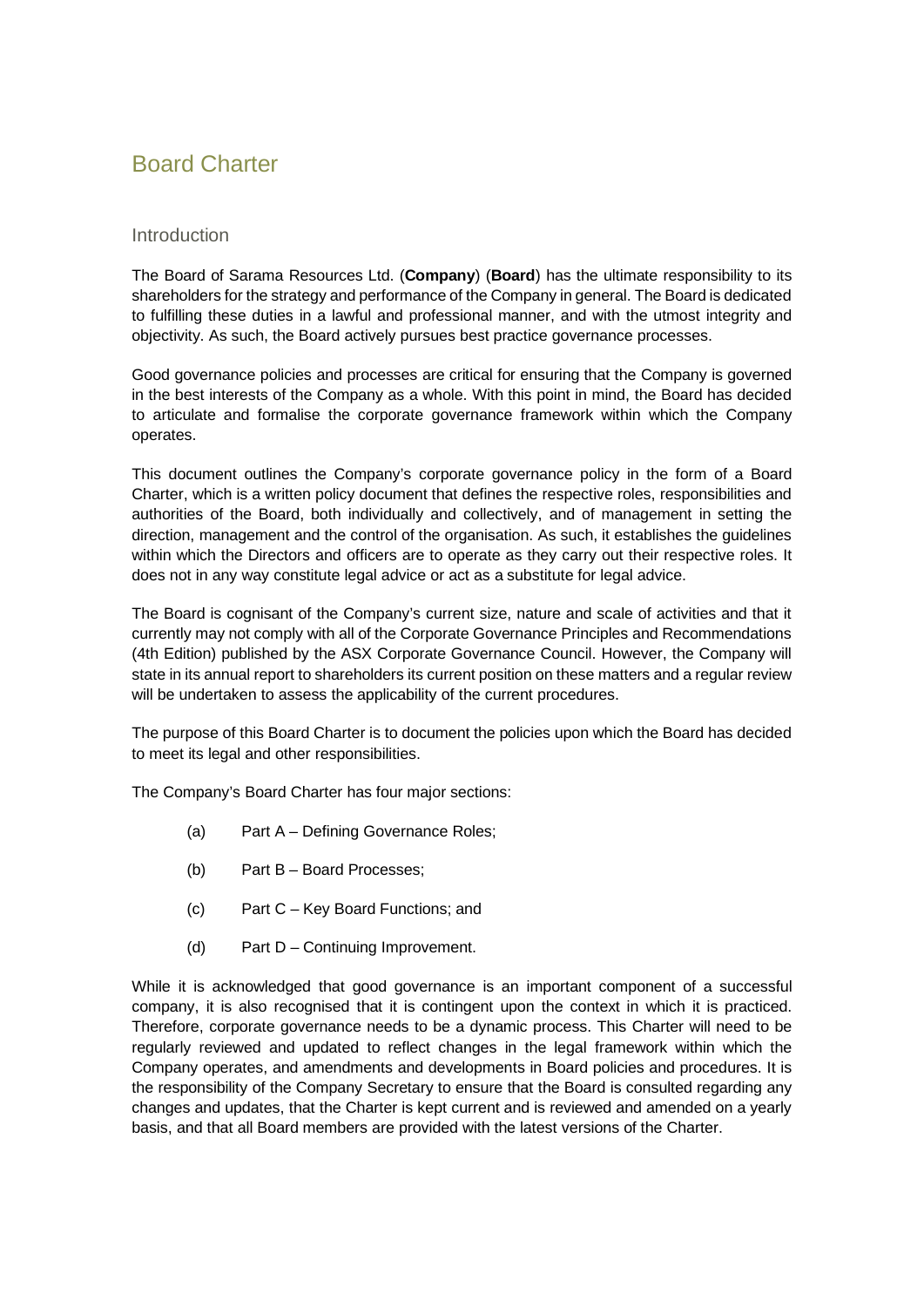# <span id="page-4-0"></span>Board Charter

## Introduction

The Board of Sarama Resources Ltd. (**Company**) (**Board**) has the ultimate responsibility to its shareholders for the strategy and performance of the Company in general. The Board is dedicated to fulfilling these duties in a lawful and professional manner, and with the utmost integrity and objectivity. As such, the Board actively pursues best practice governance processes.

Good governance policies and processes are critical for ensuring that the Company is governed in the best interests of the Company as a whole. With this point in mind, the Board has decided to articulate and formalise the corporate governance framework within which the Company operates.

This document outlines the Company's corporate governance policy in the form of a Board Charter, which is a written policy document that defines the respective roles, responsibilities and authorities of the Board, both individually and collectively, and of management in setting the direction, management and the control of the organisation. As such, it establishes the guidelines within which the Directors and officers are to operate as they carry out their respective roles. It does not in any way constitute legal advice or act as a substitute for legal advice.

The Board is cognisant of the Company's current size, nature and scale of activities and that it currently may not comply with all of the Corporate Governance Principles and Recommendations (4th Edition) published by the ASX Corporate Governance Council. However, the Company will state in its annual report to shareholders its current position on these matters and a regular review will be undertaken to assess the applicability of the current procedures.

The purpose of this Board Charter is to document the policies upon which the Board has decided to meet its legal and other responsibilities.

The Company's Board Charter has four major sections:

- (a) Part A Defining Governance Roles;
- (b) Part B Board Processes;
- (c) Part C Key Board Functions; and
- (d) Part D Continuing Improvement.

While it is acknowledged that good governance is an important component of a successful company, it is also recognised that it is contingent upon the context in which it is practiced. Therefore, corporate governance needs to be a dynamic process. This Charter will need to be regularly reviewed and updated to reflect changes in the legal framework within which the Company operates, and amendments and developments in Board policies and procedures. It is the responsibility of the Company Secretary to ensure that the Board is consulted regarding any changes and updates, that the Charter is kept current and is reviewed and amended on a yearly basis, and that all Board members are provided with the latest versions of the Charter.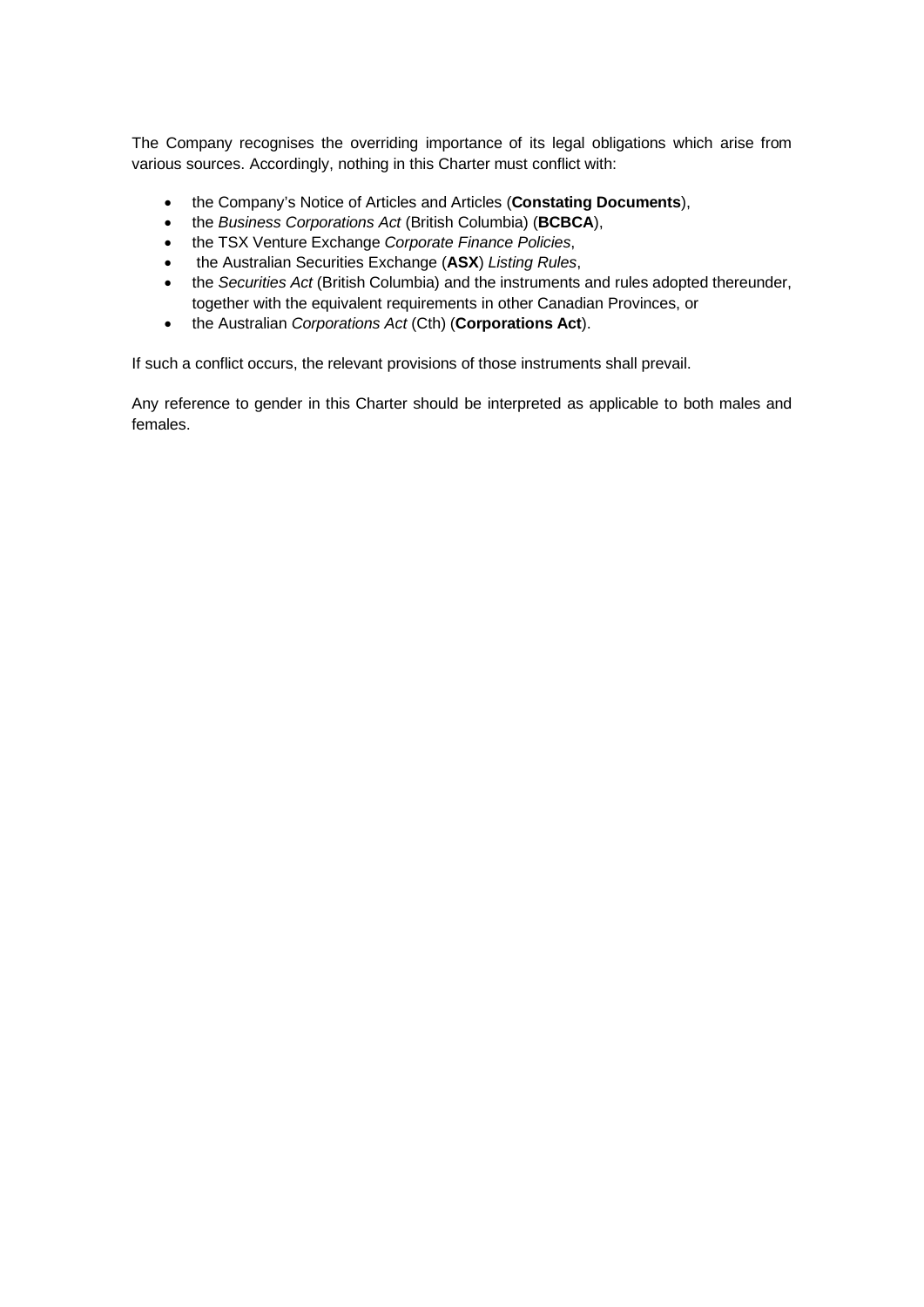The Company recognises the overriding importance of its legal obligations which arise from various sources. Accordingly, nothing in this Charter must conflict with:

- the Company's Notice of Articles and Articles (**Constating Documents**),
- the *Business Corporations Act* (British Columbia) (**BCBCA**),
- the TSX Venture Exchange *Corporate Finance Policies*,
- the Australian Securities Exchange (**ASX**) *Listing Rules*,
- the *Securities Act* (British Columbia) and the instruments and rules adopted thereunder, together with the equivalent requirements in other Canadian Provinces, or
- the Australian *Corporations Act* (Cth) (**Corporations Act**).

If such a conflict occurs, the relevant provisions of those instruments shall prevail.

Any reference to gender in this Charter should be interpreted as applicable to both males and females.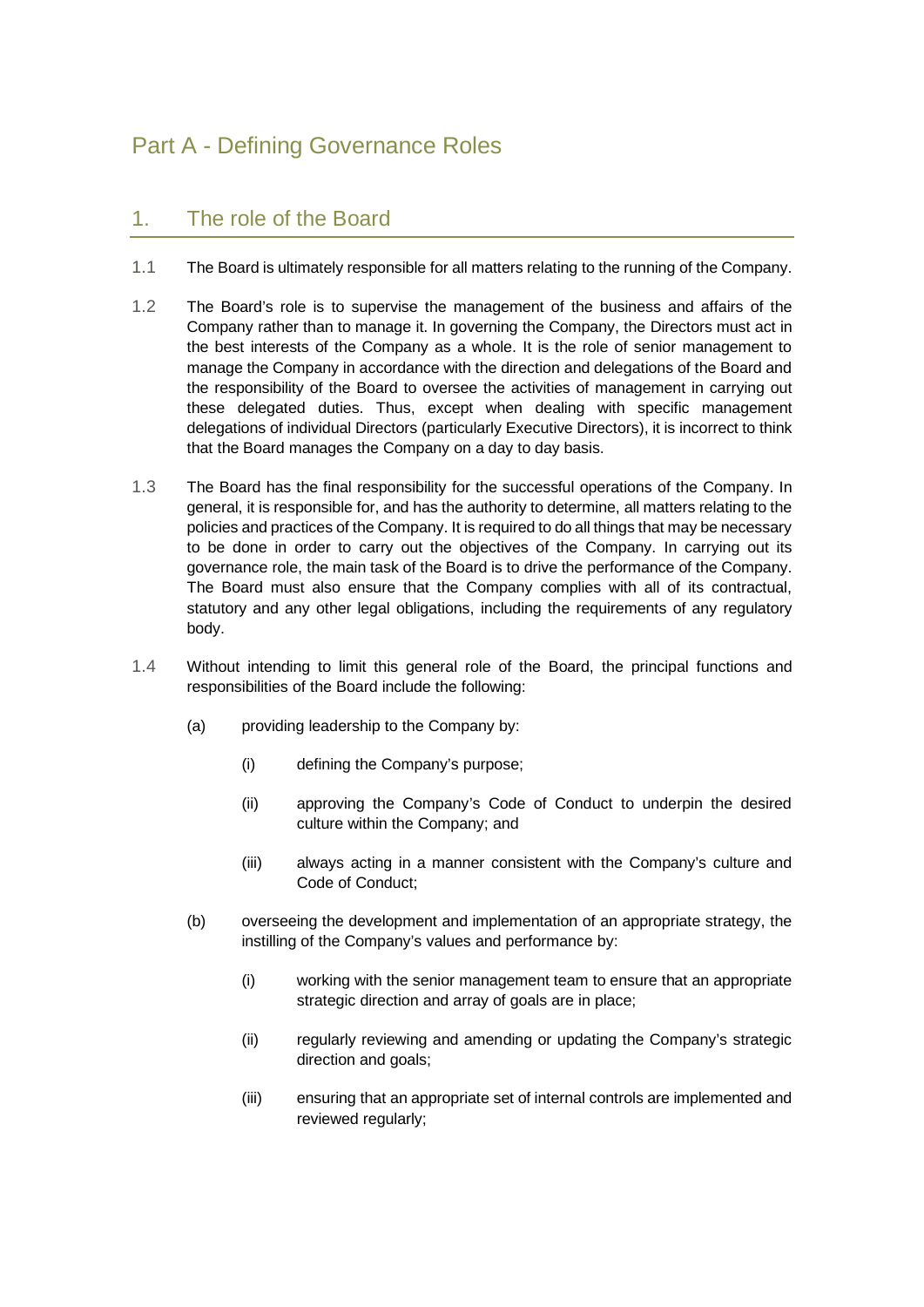# <span id="page-6-0"></span>Part A - Defining Governance Roles

# <span id="page-6-1"></span>1. The role of the Board

- 1.1 The Board is ultimately responsible for all matters relating to the running of the Company.
- 1.2 The Board's role is to supervise the management of the business and affairs of the Company rather than to manage it. In governing the Company, the Directors must act in the best interests of the Company as a whole. It is the role of senior management to manage the Company in accordance with the direction and delegations of the Board and the responsibility of the Board to oversee the activities of management in carrying out these delegated duties. Thus, except when dealing with specific management delegations of individual Directors (particularly Executive Directors), it is incorrect to think that the Board manages the Company on a day to day basis.
- 1.3 The Board has the final responsibility for the successful operations of the Company. In general, it is responsible for, and has the authority to determine, all matters relating to the policies and practices of the Company. It is required to do all things that may be necessary to be done in order to carry out the objectives of the Company. In carrying out its governance role, the main task of the Board is to drive the performance of the Company. The Board must also ensure that the Company complies with all of its contractual, statutory and any other legal obligations, including the requirements of any regulatory body.
- 1.4 Without intending to limit this general role of the Board, the principal functions and responsibilities of the Board include the following:
	- (a) providing leadership to the Company by:
		- (i) defining the Company's purpose;
		- (ii) approving the Company's Code of Conduct to underpin the desired culture within the Company; and
		- (iii) always acting in a manner consistent with the Company's culture and Code of Conduct;
	- (b) overseeing the development and implementation of an appropriate strategy, the instilling of the Company's values and performance by:
		- (i) working with the senior management team to ensure that an appropriate strategic direction and array of goals are in place;
		- (ii) regularly reviewing and amending or updating the Company's strategic direction and goals;
		- (iii) ensuring that an appropriate set of internal controls are implemented and reviewed regularly;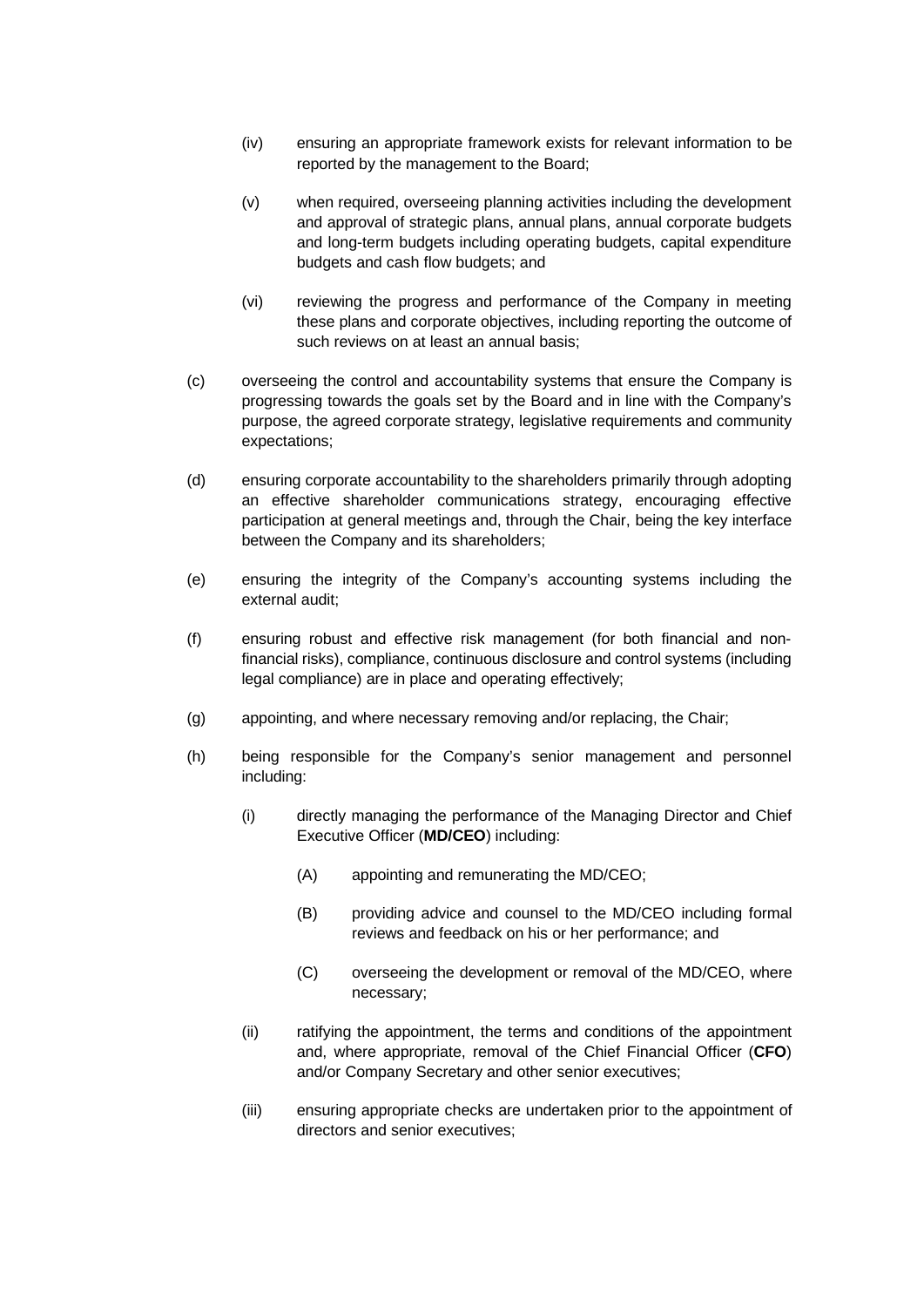- (iv) ensuring an appropriate framework exists for relevant information to be reported by the management to the Board;
- (v) when required, overseeing planning activities including the development and approval of strategic plans, annual plans, annual corporate budgets and long-term budgets including operating budgets, capital expenditure budgets and cash flow budgets; and
- (vi) reviewing the progress and performance of the Company in meeting these plans and corporate objectives, including reporting the outcome of such reviews on at least an annual basis;
- (c) overseeing the control and accountability systems that ensure the Company is progressing towards the goals set by the Board and in line with the Company's purpose, the agreed corporate strategy, legislative requirements and community expectations;
- (d) ensuring corporate accountability to the shareholders primarily through adopting an effective shareholder communications strategy, encouraging effective participation at general meetings and, through the Chair, being the key interface between the Company and its shareholders;
- (e) ensuring the integrity of the Company's accounting systems including the external audit;
- (f) ensuring robust and effective risk management (for both financial and nonfinancial risks), compliance, continuous disclosure and control systems (including legal compliance) are in place and operating effectively;
- (g) appointing, and where necessary removing and/or replacing, the Chair;
- (h) being responsible for the Company's senior management and personnel including:
	- (i) directly managing the performance of the Managing Director and Chief Executive Officer (**MD/CEO**) including:
		- (A) appointing and remunerating the MD/CEO;
		- (B) providing advice and counsel to the MD/CEO including formal reviews and feedback on his or her performance; and
		- (C) overseeing the development or removal of the MD/CEO, where necessary;
	- (ii) ratifying the appointment, the terms and conditions of the appointment and, where appropriate, removal of the Chief Financial Officer (**CFO**) and/or Company Secretary and other senior executives;
	- (iii) ensuring appropriate checks are undertaken prior to the appointment of directors and senior executives;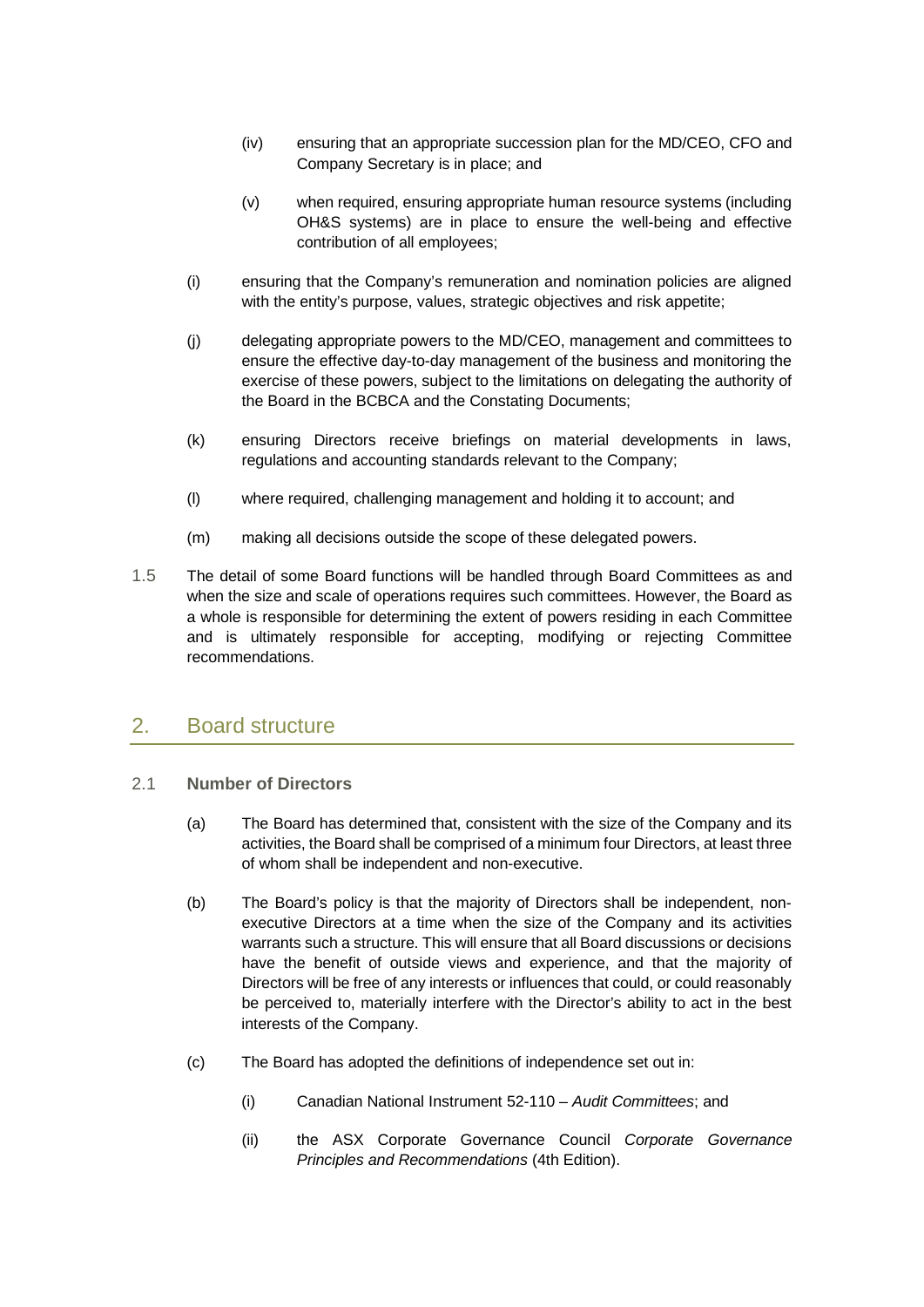- (iv) ensuring that an appropriate succession plan for the MD/CEO, CFO and Company Secretary is in place; and
- (v) when required, ensuring appropriate human resource systems (including OH&S systems) are in place to ensure the well-being and effective contribution of all employees;
- (i) ensuring that the Company's remuneration and nomination policies are aligned with the entity's purpose, values, strategic objectives and risk appetite;
- (j) delegating appropriate powers to the MD/CEO, management and committees to ensure the effective day-to-day management of the business and monitoring the exercise of these powers, subject to the limitations on delegating the authority of the Board in the BCBCA and the Constating Documents;
- (k) ensuring Directors receive briefings on material developments in laws, regulations and accounting standards relevant to the Company;
- (l) where required, challenging management and holding it to account; and
- (m) making all decisions outside the scope of these delegated powers.
- 1.5 The detail of some Board functions will be handled through Board Committees as and when the size and scale of operations requires such committees. However, the Board as a whole is responsible for determining the extent of powers residing in each Committee and is ultimately responsible for accepting, modifying or rejecting Committee recommendations.

# <span id="page-8-0"></span>2. Board structure

- <span id="page-8-1"></span>2.1 **Number of Directors**
	- (a) The Board has determined that, consistent with the size of the Company and its activities, the Board shall be comprised of a minimum four Directors, at least three of whom shall be independent and non-executive.
	- (b) The Board's policy is that the majority of Directors shall be independent, nonexecutive Directors at a time when the size of the Company and its activities warrants such a structure. This will ensure that all Board discussions or decisions have the benefit of outside views and experience, and that the majority of Directors will be free of any interests or influences that could, or could reasonably be perceived to, materially interfere with the Director's ability to act in the best interests of the Company.
	- (c) The Board has adopted the definitions of independence set out in:
		- (i) Canadian National Instrument 52-110 *Audit Committees*; and
		- (ii) the ASX Corporate Governance Council *Corporate Governance Principles and Recommendations* (4th Edition).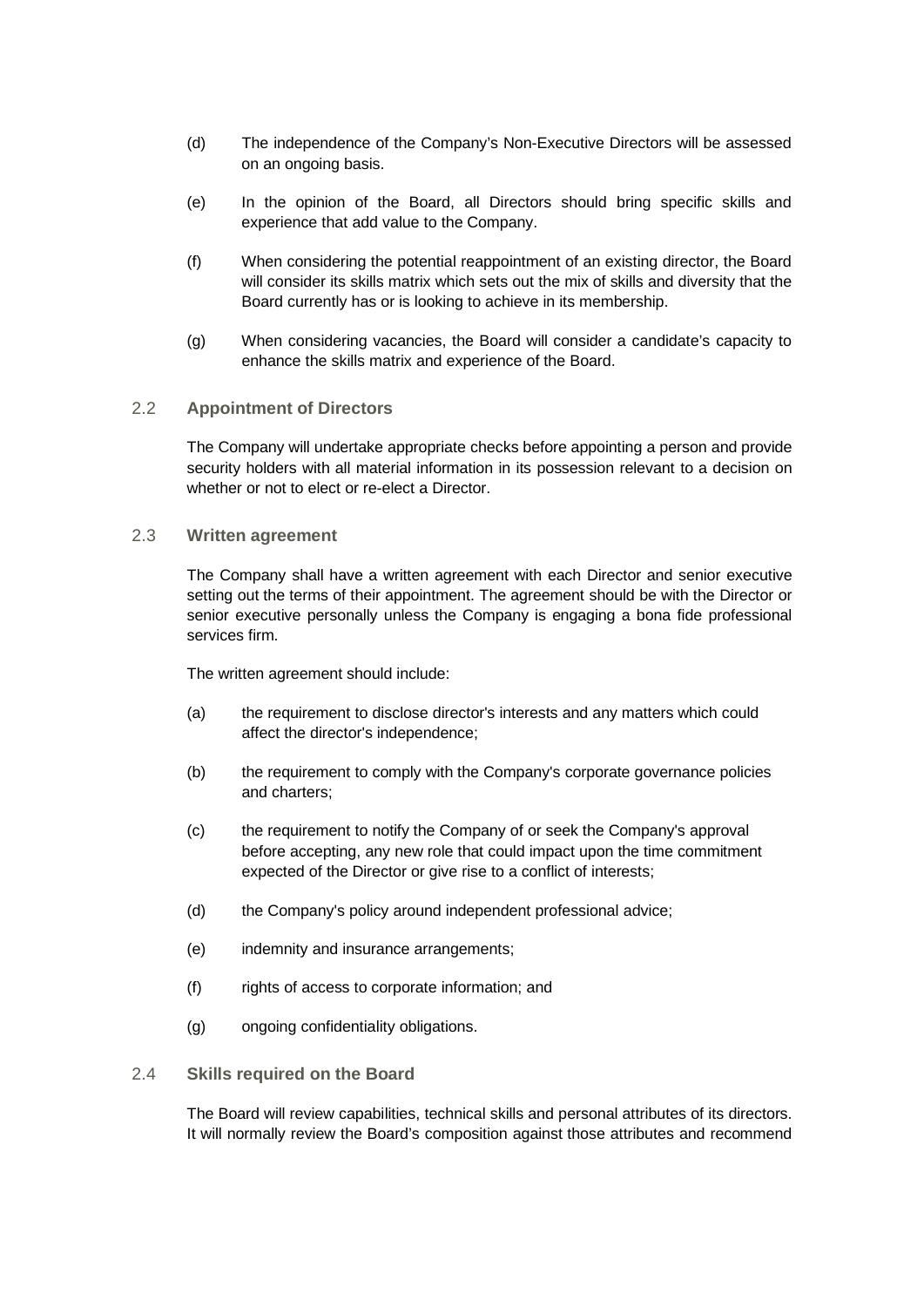- (d) The independence of the Company's Non-Executive Directors will be assessed on an ongoing basis.
- (e) In the opinion of the Board, all Directors should bring specific skills and experience that add value to the Company.
- (f) When considering the potential reappointment of an existing director, the Board will consider its skills matrix which sets out the mix of skills and diversity that the Board currently has or is looking to achieve in its membership.
- (g) When considering vacancies, the Board will consider a candidate's capacity to enhance the skills matrix and experience of the Board.

### <span id="page-9-0"></span>2.2 **Appointment of Directors**

The Company will undertake appropriate checks before appointing a person and provide security holders with all material information in its possession relevant to a decision on whether or not to elect or re-elect a Director.

#### 2.3 **Written agreement**

The Company shall have a written agreement with each Director and senior executive setting out the terms of their appointment. The agreement should be with the Director or senior executive personally unless the Company is engaging a bona fide professional services firm.

The written agreement should include:

- (a) the requirement to disclose director's interests and any matters which could affect the director's independence;
- (b) the requirement to comply with the Company's corporate governance policies and charters;
- (c) the requirement to notify the Company of or seek the Company's approval before accepting, any new role that could impact upon the time commitment expected of the Director or give rise to a conflict of interests;
- (d) the Company's policy around independent professional advice;
- (e) indemnity and insurance arrangements;
- (f) rights of access to corporate information; and
- (g) ongoing confidentiality obligations.

### <span id="page-9-1"></span>2.4 **Skills required on the Board**

The Board will review capabilities, technical skills and personal attributes of its directors. It will normally review the Board's composition against those attributes and recommend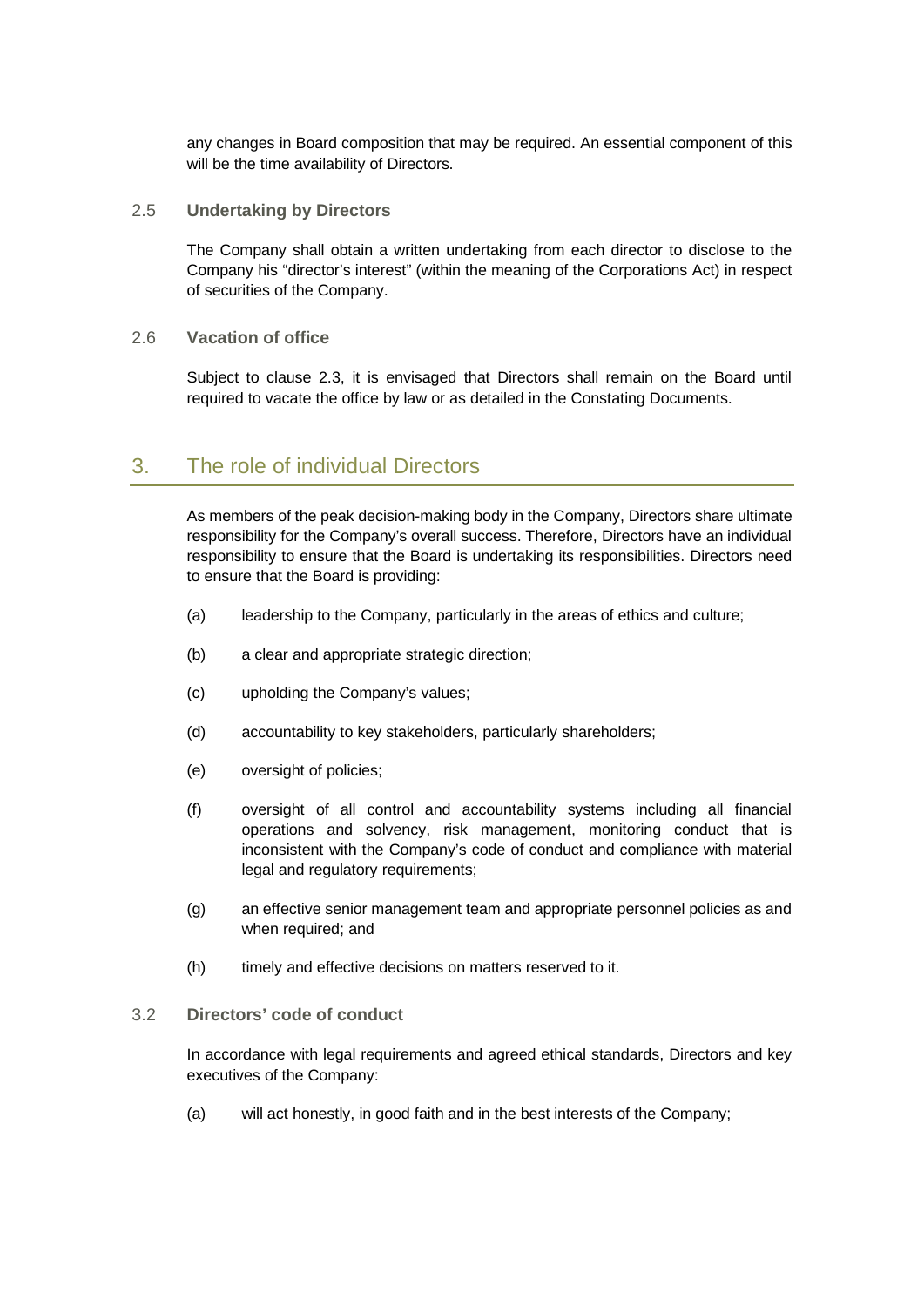any changes in Board composition that may be required. An essential component of this will be the time availability of Directors.

#### <span id="page-10-0"></span>2.5 **Undertaking by Directors**

The Company shall obtain a written undertaking from each director to disclose to the Company his "director's interest" (within the meaning of the Corporations Act) in respect of securities of the Company.

### <span id="page-10-1"></span>2.6 **Vacation of office**

Subject to clause [2.3,](#page-9-1) it is envisaged that Directors shall remain on the Board until required to vacate the office by law or as detailed in the Constating Documents.

# <span id="page-10-2"></span>3. The role of individual Directors

As members of the peak decision-making body in the Company, Directors share ultimate responsibility for the Company's overall success. Therefore, Directors have an individual responsibility to ensure that the Board is undertaking its responsibilities. Directors need to ensure that the Board is providing:

- (a) leadership to the Company, particularly in the areas of ethics and culture;
- (b) a clear and appropriate strategic direction;
- (c) upholding the Company's values;
- (d) accountability to key stakeholders, particularly shareholders;
- (e) oversight of policies;
- (f) oversight of all control and accountability systems including all financial operations and solvency, risk management, monitoring conduct that is inconsistent with the Company's code of conduct and compliance with material legal and regulatory requirements;
- (g) an effective senior management team and appropriate personnel policies as and when required; and
- (h) timely and effective decisions on matters reserved to it.

#### <span id="page-10-3"></span>3.2 **Directors' code of conduct**

In accordance with legal requirements and agreed ethical standards, Directors and key executives of the Company:

(a) will act honestly, in good faith and in the best interests of the Company;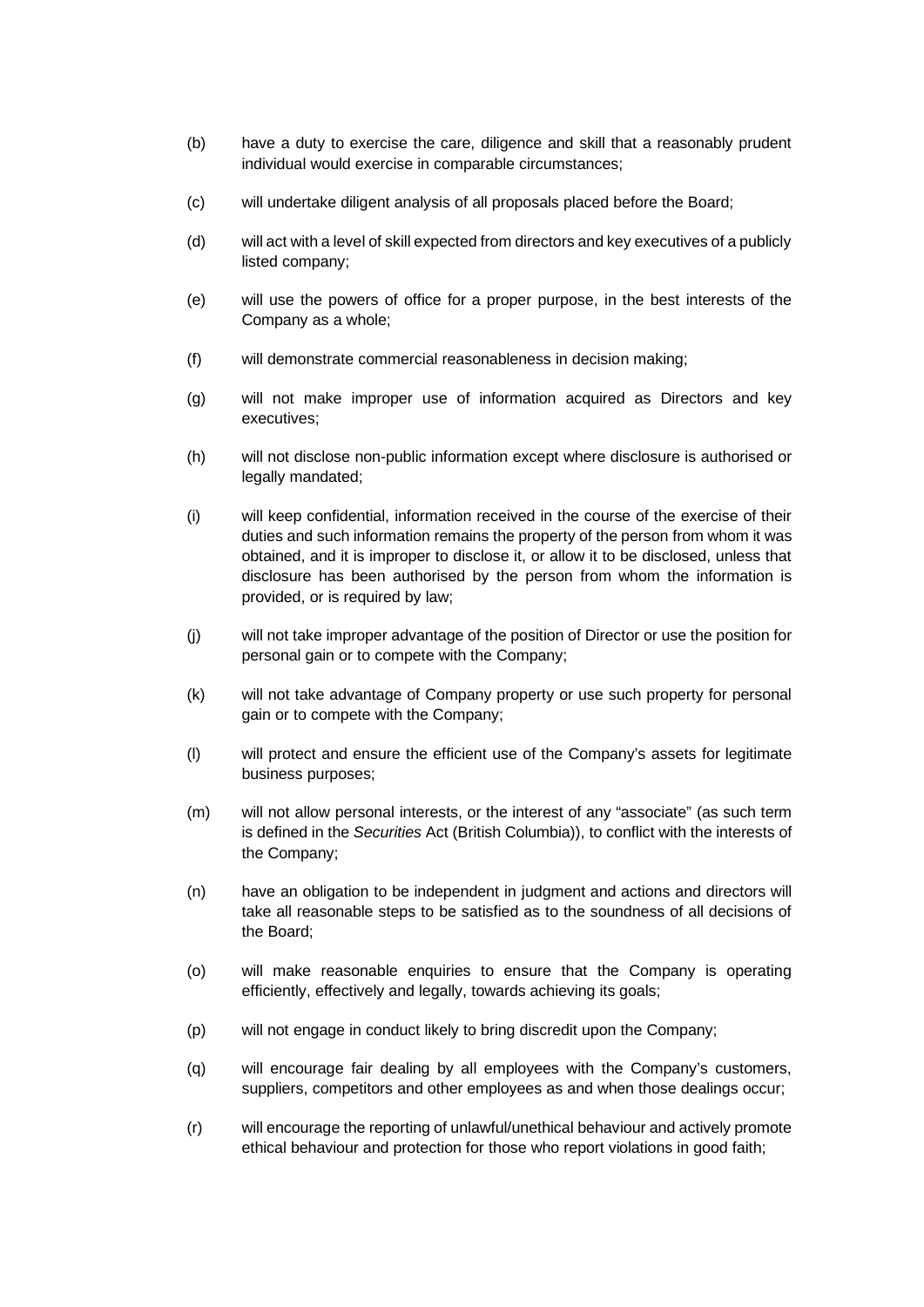- (b) have a duty to exercise the care, diligence and skill that a reasonably prudent individual would exercise in comparable circumstances;
- (c) will undertake diligent analysis of all proposals placed before the Board;
- (d) will act with a level of skill expected from directors and key executives of a publicly listed company;
- (e) will use the powers of office for a proper purpose, in the best interests of the Company as a whole;
- (f) will demonstrate commercial reasonableness in decision making;
- (g) will not make improper use of information acquired as Directors and key executives;
- (h) will not disclose non-public information except where disclosure is authorised or legally mandated;
- (i) will keep confidential, information received in the course of the exercise of their duties and such information remains the property of the person from whom it was obtained, and it is improper to disclose it, or allow it to be disclosed, unless that disclosure has been authorised by the person from whom the information is provided, or is required by law;
- (j) will not take improper advantage of the position of Director or use the position for personal gain or to compete with the Company;
- (k) will not take advantage of Company property or use such property for personal gain or to compete with the Company;
- (l) will protect and ensure the efficient use of the Company's assets for legitimate business purposes;
- (m) will not allow personal interests, or the interest of any "associate" (as such term is defined in the *Securities* Act (British Columbia)), to conflict with the interests of the Company;
- (n) have an obligation to be independent in judgment and actions and directors will take all reasonable steps to be satisfied as to the soundness of all decisions of the Board;
- (o) will make reasonable enquiries to ensure that the Company is operating efficiently, effectively and legally, towards achieving its goals;
- (p) will not engage in conduct likely to bring discredit upon the Company;
- (q) will encourage fair dealing by all employees with the Company's customers, suppliers, competitors and other employees as and when those dealings occur;
- (r) will encourage the reporting of unlawful/unethical behaviour and actively promote ethical behaviour and protection for those who report violations in good faith;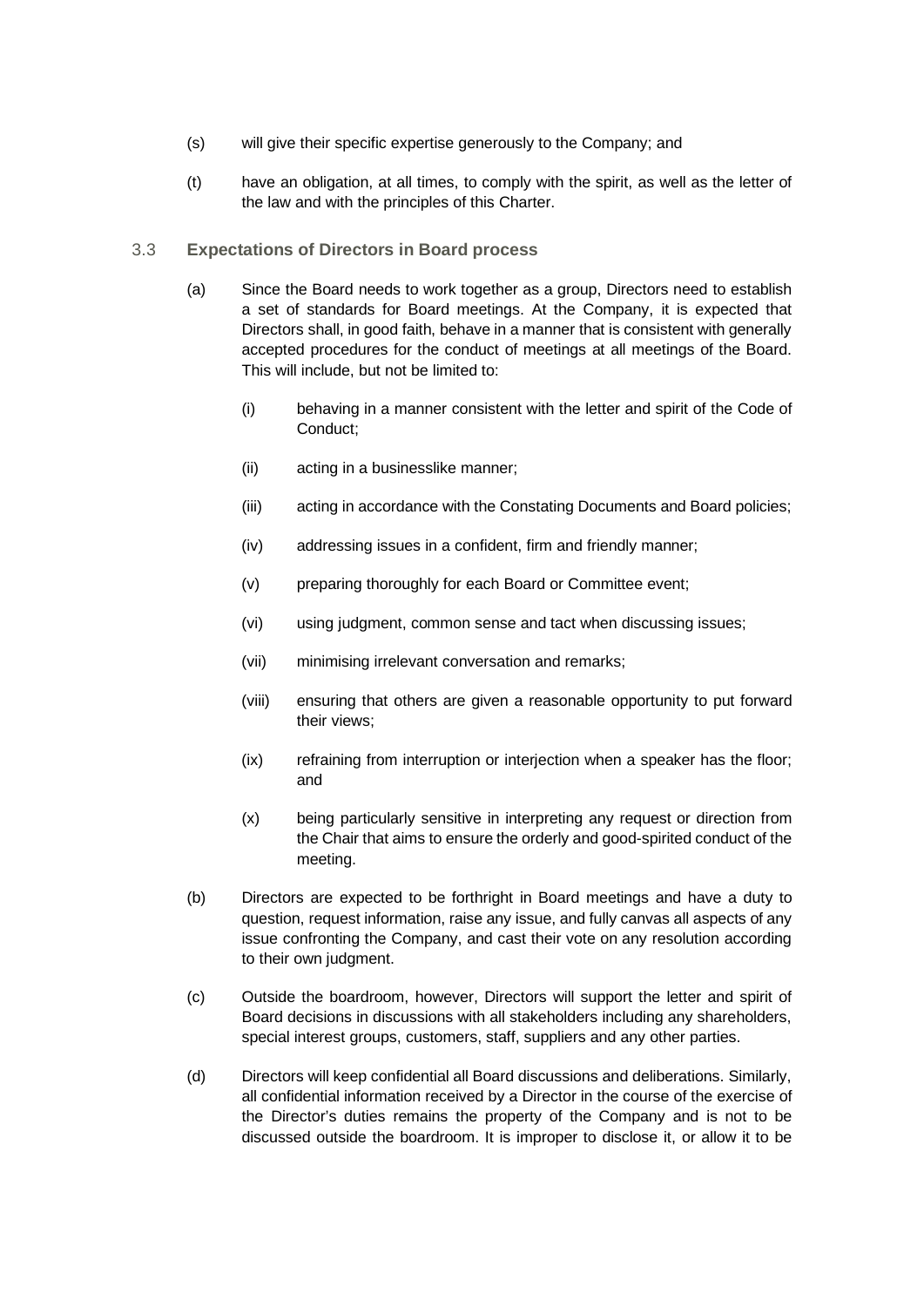- (s) will give their specific expertise generously to the Company; and
- (t) have an obligation, at all times, to comply with the spirit, as well as the letter of the law and with the principles of this Charter.

#### <span id="page-12-0"></span>3.3 **Expectations of Directors in Board process**

- (a) Since the Board needs to work together as a group, Directors need to establish a set of standards for Board meetings. At the Company, it is expected that Directors shall, in good faith, behave in a manner that is consistent with generally accepted procedures for the conduct of meetings at all meetings of the Board. This will include, but not be limited to:
	- (i) behaving in a manner consistent with the letter and spirit of the Code of Conduct;
	- (ii) acting in a businesslike manner;
	- (iii) acting in accordance with the Constating Documents and Board policies;
	- (iv) addressing issues in a confident, firm and friendly manner;
	- (v) preparing thoroughly for each Board or Committee event;
	- (vi) using judgment, common sense and tact when discussing issues;
	- (vii) minimising irrelevant conversation and remarks;
	- (viii) ensuring that others are given a reasonable opportunity to put forward their views;
	- (ix) refraining from interruption or interjection when a speaker has the floor; and
	- (x) being particularly sensitive in interpreting any request or direction from the Chair that aims to ensure the orderly and good-spirited conduct of the meeting.
- (b) Directors are expected to be forthright in Board meetings and have a duty to question, request information, raise any issue, and fully canvas all aspects of any issue confronting the Company, and cast their vote on any resolution according to their own judgment.
- (c) Outside the boardroom, however, Directors will support the letter and spirit of Board decisions in discussions with all stakeholders including any shareholders, special interest groups, customers, staff, suppliers and any other parties.
- (d) Directors will keep confidential all Board discussions and deliberations. Similarly, all confidential information received by a Director in the course of the exercise of the Director's duties remains the property of the Company and is not to be discussed outside the boardroom. It is improper to disclose it, or allow it to be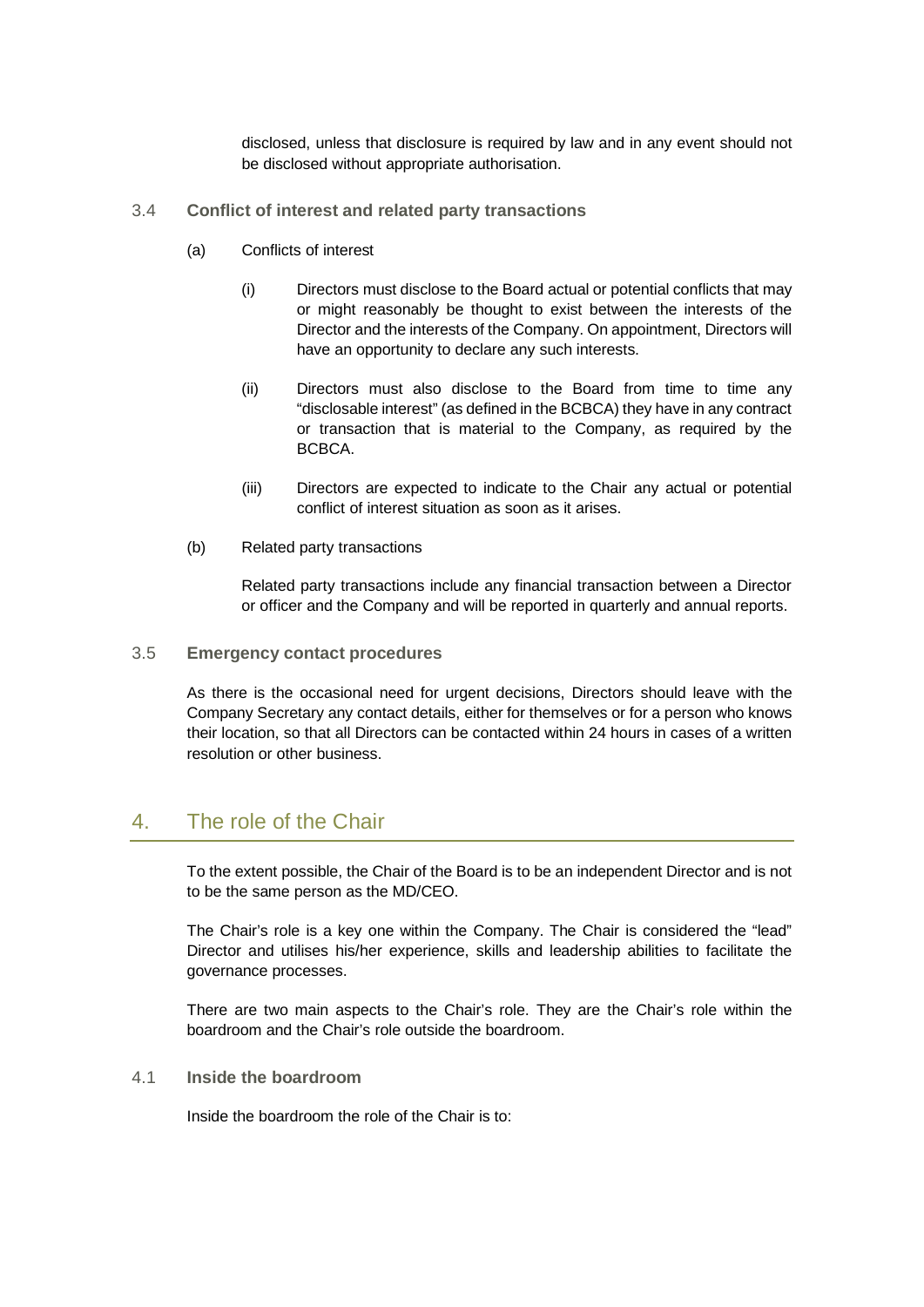disclosed, unless that disclosure is required by law and in any event should not be disclosed without appropriate authorisation.

- <span id="page-13-0"></span>3.4 **Conflict of interest and related party transactions**
	- (a) Conflicts of interest
		- (i) Directors must disclose to the Board actual or potential conflicts that may or might reasonably be thought to exist between the interests of the Director and the interests of the Company. On appointment, Directors will have an opportunity to declare any such interests.
		- (ii) Directors must also disclose to the Board from time to time any "disclosable interest" (as defined in the BCBCA) they have in any contract or transaction that is material to the Company, as required by the BCBCA.
		- (iii) Directors are expected to indicate to the Chair any actual or potential conflict of interest situation as soon as it arises.
	- (b) Related party transactions

Related party transactions include any financial transaction between a Director or officer and the Company and will be reported in quarterly and annual reports.

<span id="page-13-1"></span>3.5 **Emergency contact procedures**

As there is the occasional need for urgent decisions, Directors should leave with the Company Secretary any contact details, either for themselves or for a person who knows their location, so that all Directors can be contacted within 24 hours in cases of a written resolution or other business.

# <span id="page-13-2"></span>4. The role of the Chair

To the extent possible, the Chair of the Board is to be an independent Director and is not to be the same person as the MD/CEO.

The Chair's role is a key one within the Company. The Chair is considered the "lead" Director and utilises his/her experience, skills and leadership abilities to facilitate the governance processes.

There are two main aspects to the Chair's role. They are the Chair's role within the boardroom and the Chair's role outside the boardroom.

## <span id="page-13-3"></span>4.1 **Inside the boardroom**

Inside the boardroom the role of the Chair is to: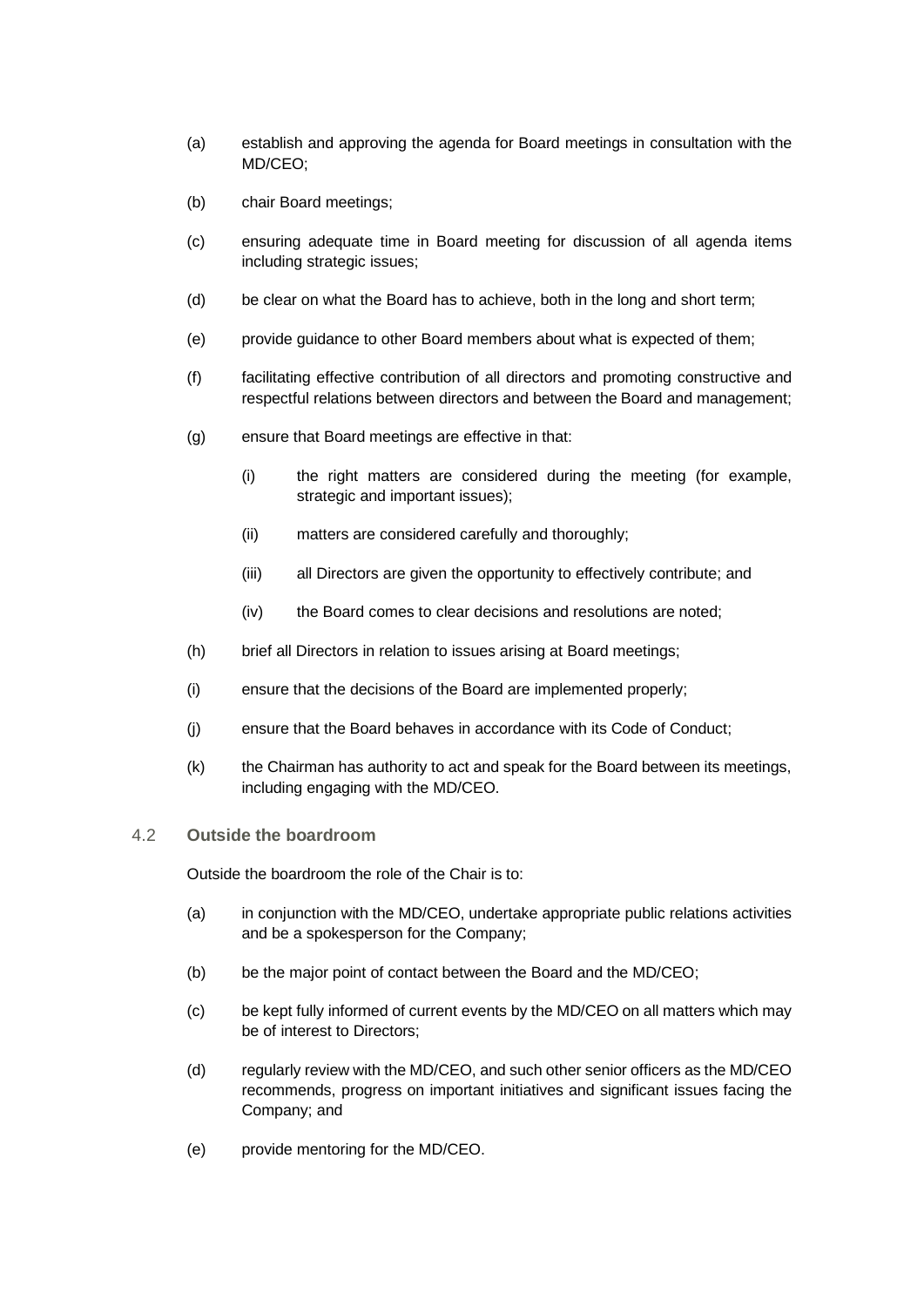- (a) establish and approving the agenda for Board meetings in consultation with the MD/CEO;
- (b) chair Board meetings;
- (c) ensuring adequate time in Board meeting for discussion of all agenda items including strategic issues;
- (d) be clear on what the Board has to achieve, both in the long and short term;
- (e) provide guidance to other Board members about what is expected of them;
- (f) facilitating effective contribution of all directors and promoting constructive and respectful relations between directors and between the Board and management;
- (g) ensure that Board meetings are effective in that:
	- (i) the right matters are considered during the meeting (for example, strategic and important issues);
	- (ii) matters are considered carefully and thoroughly;
	- (iii) all Directors are given the opportunity to effectively contribute; and
	- (iv) the Board comes to clear decisions and resolutions are noted;
- (h) brief all Directors in relation to issues arising at Board meetings;
- (i) ensure that the decisions of the Board are implemented properly;
- (j) ensure that the Board behaves in accordance with its Code of Conduct;
- (k) the Chairman has authority to act and speak for the Board between its meetings, including engaging with the MD/CEO.

#### <span id="page-14-0"></span>4.2 **Outside the boardroom**

Outside the boardroom the role of the Chair is to:

- (a) in conjunction with the MD/CEO, undertake appropriate public relations activities and be a spokesperson for the Company;
- (b) be the major point of contact between the Board and the MD/CEO;
- (c) be kept fully informed of current events by the MD/CEO on all matters which may be of interest to Directors;
- (d) regularly review with the MD/CEO, and such other senior officers as the MD/CEO recommends, progress on important initiatives and significant issues facing the Company; and
- (e) provide mentoring for the MD/CEO.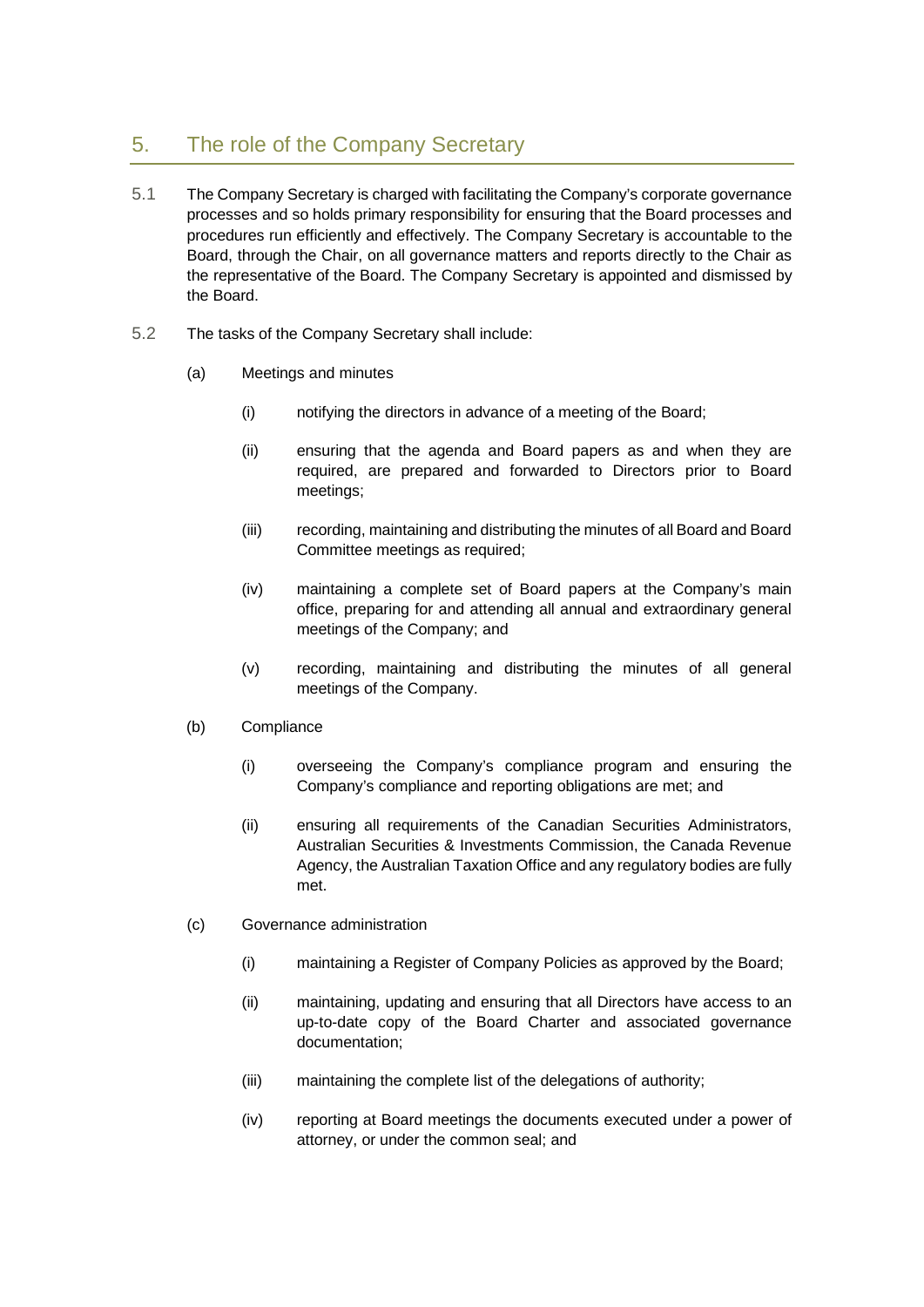# <span id="page-15-0"></span>5. The role of the Company Secretary

- 5.1 The Company Secretary is charged with facilitating the Company's corporate governance processes and so holds primary responsibility for ensuring that the Board processes and procedures run efficiently and effectively. The Company Secretary is accountable to the Board, through the Chair, on all governance matters and reports directly to the Chair as the representative of the Board. The Company Secretary is appointed and dismissed by the Board.
- 5.2 The tasks of the Company Secretary shall include:
	- (a) Meetings and minutes
		- (i) notifying the directors in advance of a meeting of the Board;
		- (ii) ensuring that the agenda and Board papers as and when they are required, are prepared and forwarded to Directors prior to Board meetings;
		- (iii) recording, maintaining and distributing the minutes of all Board and Board Committee meetings as required;
		- (iv) maintaining a complete set of Board papers at the Company's main office, preparing for and attending all annual and extraordinary general meetings of the Company; and
		- (v) recording, maintaining and distributing the minutes of all general meetings of the Company.
	- (b) Compliance
		- (i) overseeing the Company's compliance program and ensuring the Company's compliance and reporting obligations are met; and
		- (ii) ensuring all requirements of the Canadian Securities Administrators, Australian Securities & Investments Commission, the Canada Revenue Agency, the Australian Taxation Office and any regulatory bodies are fully met.
	- (c) Governance administration
		- (i) maintaining a Register of Company Policies as approved by the Board;
		- (ii) maintaining, updating and ensuring that all Directors have access to an up-to-date copy of the Board Charter and associated governance documentation;
		- (iii) maintaining the complete list of the delegations of authority;
		- (iv) reporting at Board meetings the documents executed under a power of attorney, or under the common seal; and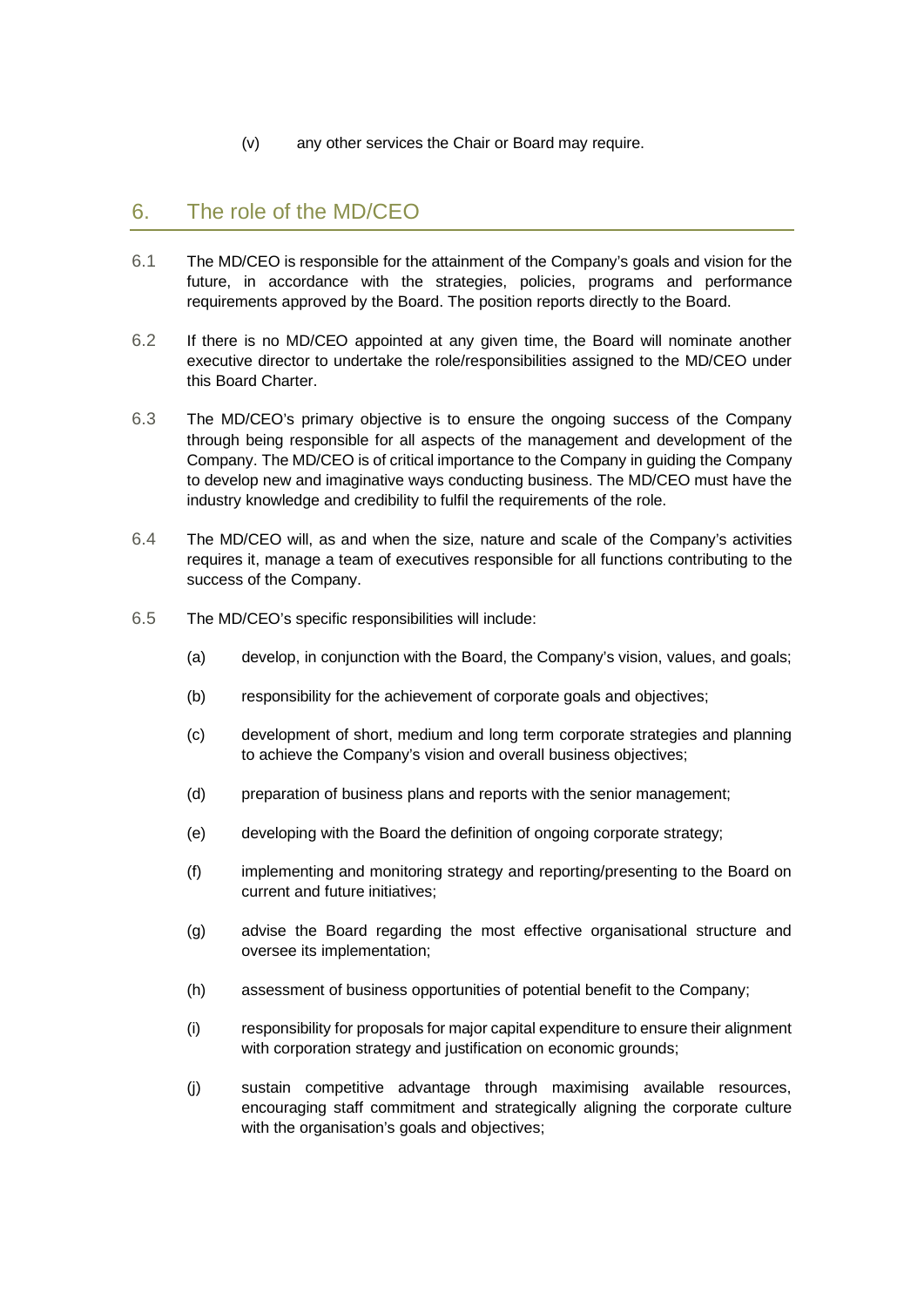(v) any other services the Chair or Board may require.

# <span id="page-16-0"></span>6. The role of the MD/CEO

- 6.1 The MD/CEO is responsible for the attainment of the Company's goals and vision for the future, in accordance with the strategies, policies, programs and performance requirements approved by the Board. The position reports directly to the Board.
- 6.2 If there is no MD/CEO appointed at any given time, the Board will nominate another executive director to undertake the role/responsibilities assigned to the MD/CEO under this Board Charter.
- 6.3 The MD/CEO's primary objective is to ensure the ongoing success of the Company through being responsible for all aspects of the management and development of the Company. The MD/CEO is of critical importance to the Company in guiding the Company to develop new and imaginative ways conducting business. The MD/CEO must have the industry knowledge and credibility to fulfil the requirements of the role.
- 6.4 The MD/CEO will, as and when the size, nature and scale of the Company's activities requires it, manage a team of executives responsible for all functions contributing to the success of the Company.
- 6.5 The MD/CEO's specific responsibilities will include:
	- (a) develop, in conjunction with the Board, the Company's vision, values, and goals;
	- (b) responsibility for the achievement of corporate goals and objectives;
	- (c) development of short, medium and long term corporate strategies and planning to achieve the Company's vision and overall business objectives;
	- (d) preparation of business plans and reports with the senior management;
	- (e) developing with the Board the definition of ongoing corporate strategy;
	- (f) implementing and monitoring strategy and reporting/presenting to the Board on current and future initiatives;
	- (g) advise the Board regarding the most effective organisational structure and oversee its implementation;
	- (h) assessment of business opportunities of potential benefit to the Company;
	- (i) responsibility for proposals for major capital expenditure to ensure their alignment with corporation strategy and justification on economic grounds;
	- (j) sustain competitive advantage through maximising available resources, encouraging staff commitment and strategically aligning the corporate culture with the organisation's goals and objectives;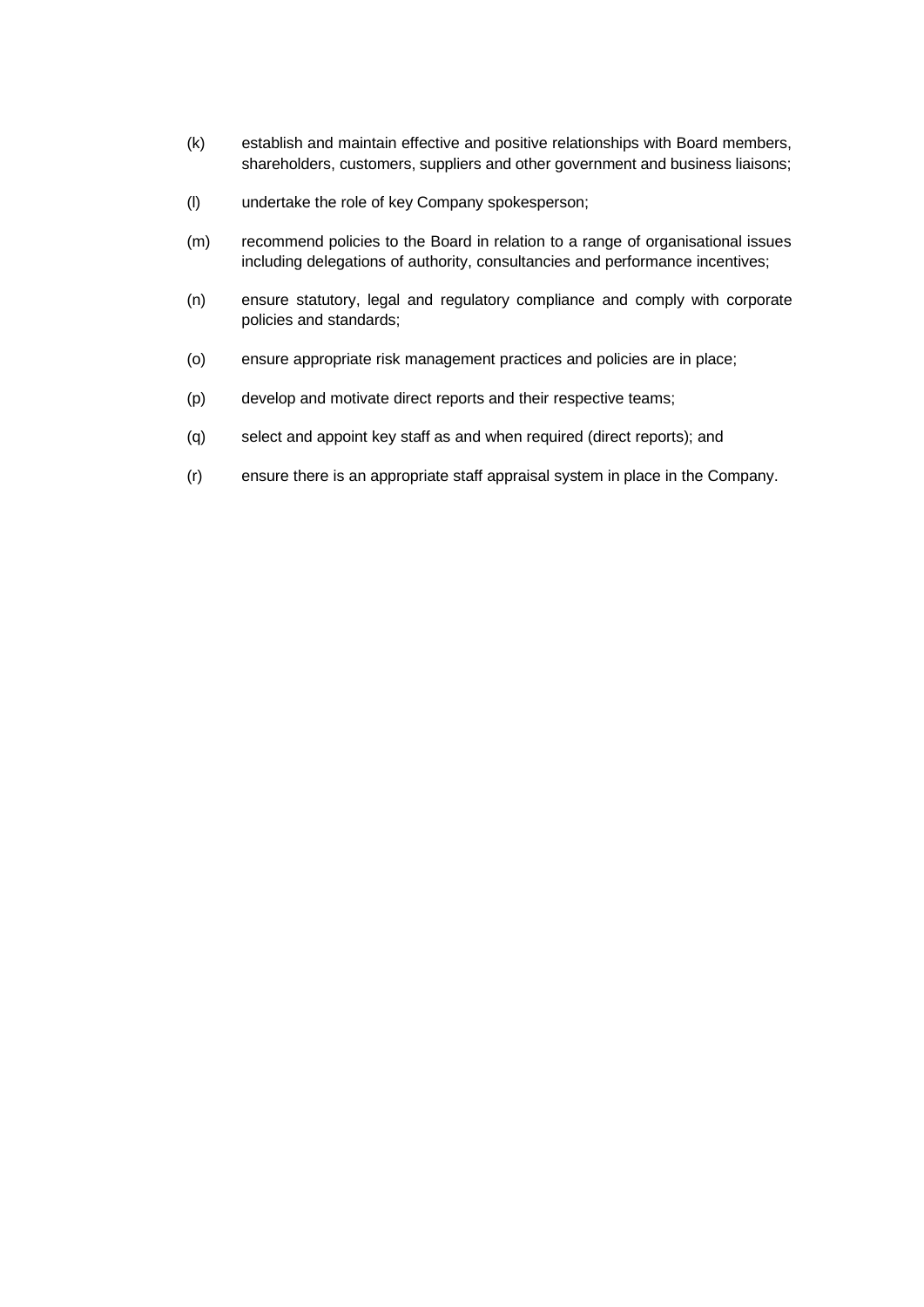- (k) establish and maintain effective and positive relationships with Board members, shareholders, customers, suppliers and other government and business liaisons;
- (l) undertake the role of key Company spokesperson;
- (m) recommend policies to the Board in relation to a range of organisational issues including delegations of authority, consultancies and performance incentives;
- (n) ensure statutory, legal and regulatory compliance and comply with corporate policies and standards;
- (o) ensure appropriate risk management practices and policies are in place;
- (p) develop and motivate direct reports and their respective teams;
- (q) select and appoint key staff as and when required (direct reports); and
- (r) ensure there is an appropriate staff appraisal system in place in the Company.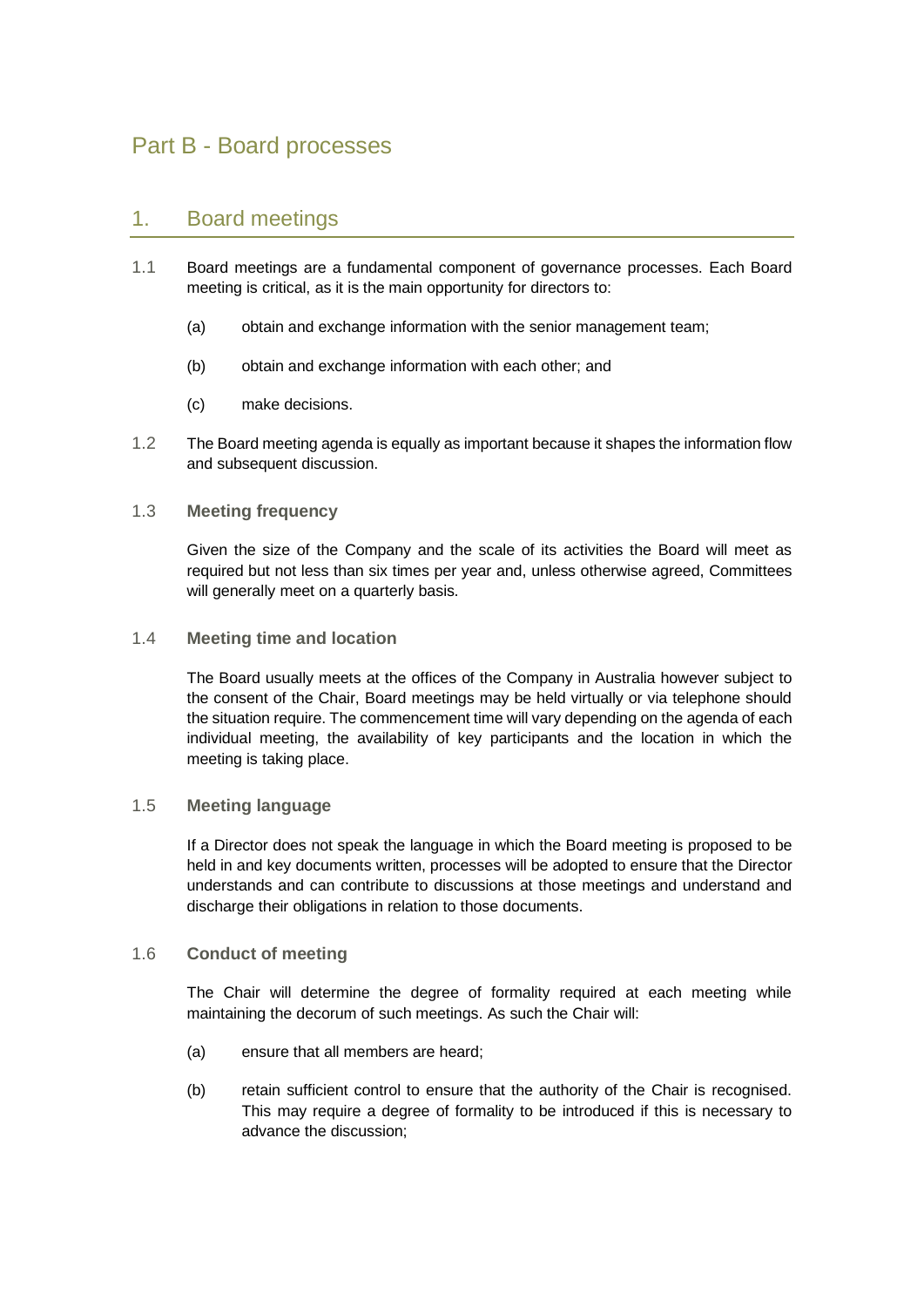# <span id="page-18-0"></span>Part B - Board processes

# <span id="page-18-1"></span>1. Board meetings

- 1.1 Board meetings are a fundamental component of governance processes. Each Board meeting is critical, as it is the main opportunity for directors to:
	- (a) obtain and exchange information with the senior management team;
	- (b) obtain and exchange information with each other; and
	- (c) make decisions.
- 1.2 The Board meeting agenda is equally as important because it shapes the information flow and subsequent discussion.

### <span id="page-18-2"></span>1.3 **Meeting frequency**

Given the size of the Company and the scale of its activities the Board will meet as required but not less than six times per year and, unless otherwise agreed, Committees will generally meet on a quarterly basis.

<span id="page-18-3"></span>1.4 **Meeting time and location**

The Board usually meets at the offices of the Company in Australia however subject to the consent of the Chair, Board meetings may be held virtually or via telephone should the situation require. The commencement time will vary depending on the agenda of each individual meeting, the availability of key participants and the location in which the meeting is taking place.

### <span id="page-18-4"></span>1.5 **Meeting language**

If a Director does not speak the language in which the Board meeting is proposed to be held in and key documents written, processes will be adopted to ensure that the Director understands and can contribute to discussions at those meetings and understand and discharge their obligations in relation to those documents.

### <span id="page-18-5"></span>1.6 **Conduct of meeting**

The Chair will determine the degree of formality required at each meeting while maintaining the decorum of such meetings. As such the Chair will:

- (a) ensure that all members are heard;
- (b) retain sufficient control to ensure that the authority of the Chair is recognised. This may require a degree of formality to be introduced if this is necessary to advance the discussion;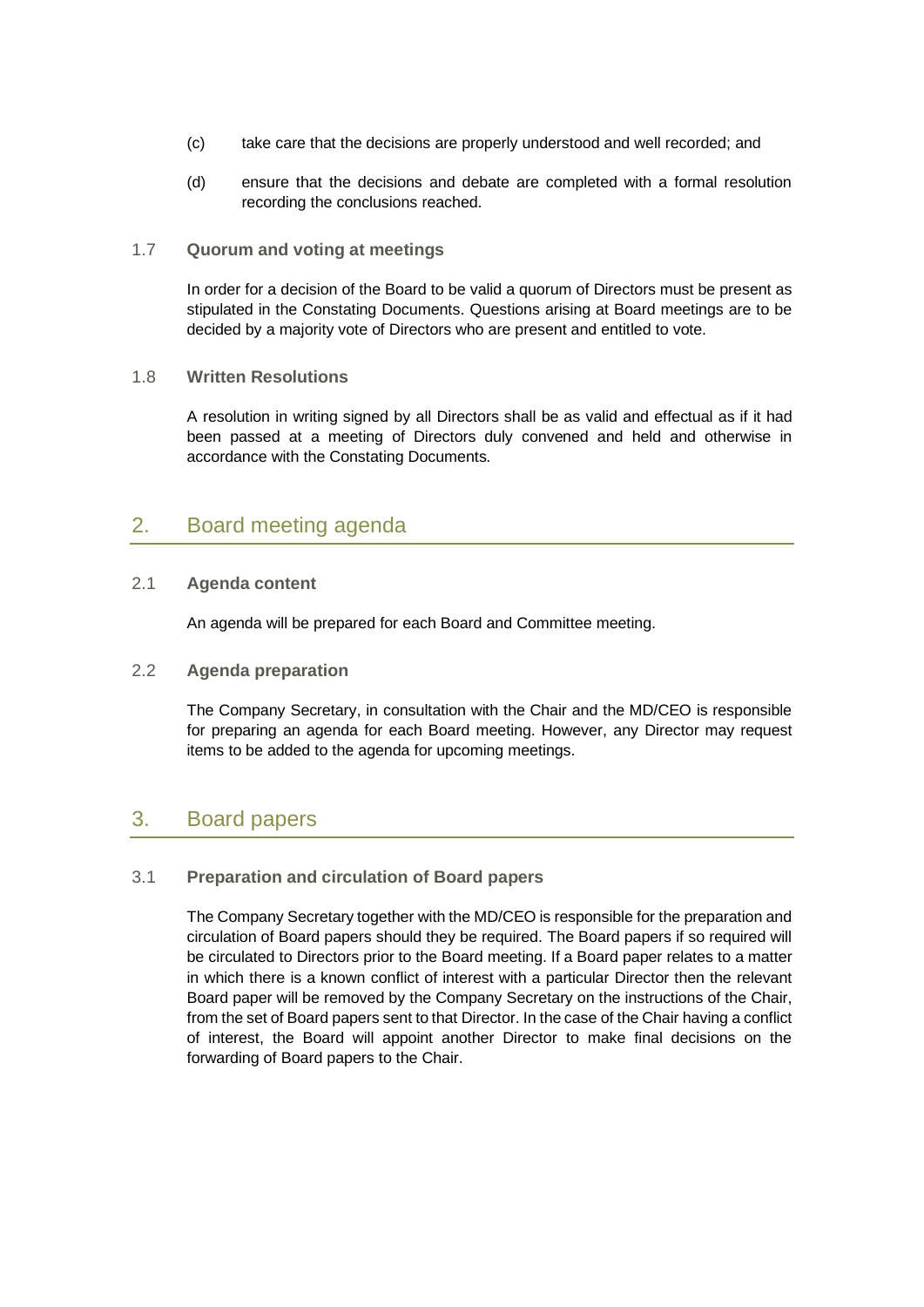- (c) take care that the decisions are properly understood and well recorded; and
- (d) ensure that the decisions and debate are completed with a formal resolution recording the conclusions reached.

#### <span id="page-19-0"></span>1.7 **Quorum and voting at meetings**

In order for a decision of the Board to be valid a quorum of Directors must be present as stipulated in the Constating Documents. Questions arising at Board meetings are to be decided by a majority vote of Directors who are present and entitled to vote.

#### <span id="page-19-1"></span>1.8 **Written Resolutions**

A resolution in writing signed by all Directors shall be as valid and effectual as if it had been passed at a meeting of Directors duly convened and held and otherwise in accordance with the Constating Documents.

# <span id="page-19-2"></span>2. Board meeting agenda

## <span id="page-19-3"></span>2.1 **Agenda content**

An agenda will be prepared for each Board and Committee meeting.

## <span id="page-19-4"></span>2.2 **Agenda preparation**

The Company Secretary, in consultation with the Chair and the MD/CEO is responsible for preparing an agenda for each Board meeting. However, any Director may request items to be added to the agenda for upcoming meetings.

# <span id="page-19-5"></span>3. Board papers

### <span id="page-19-6"></span>3.1 **Preparation and circulation of Board papers**

The Company Secretary together with the MD/CEO is responsible for the preparation and circulation of Board papers should they be required. The Board papers if so required will be circulated to Directors prior to the Board meeting. If a Board paper relates to a matter in which there is a known conflict of interest with a particular Director then the relevant Board paper will be removed by the Company Secretary on the instructions of the Chair, from the set of Board papers sent to that Director. In the case of the Chair having a conflict of interest, the Board will appoint another Director to make final decisions on the forwarding of Board papers to the Chair.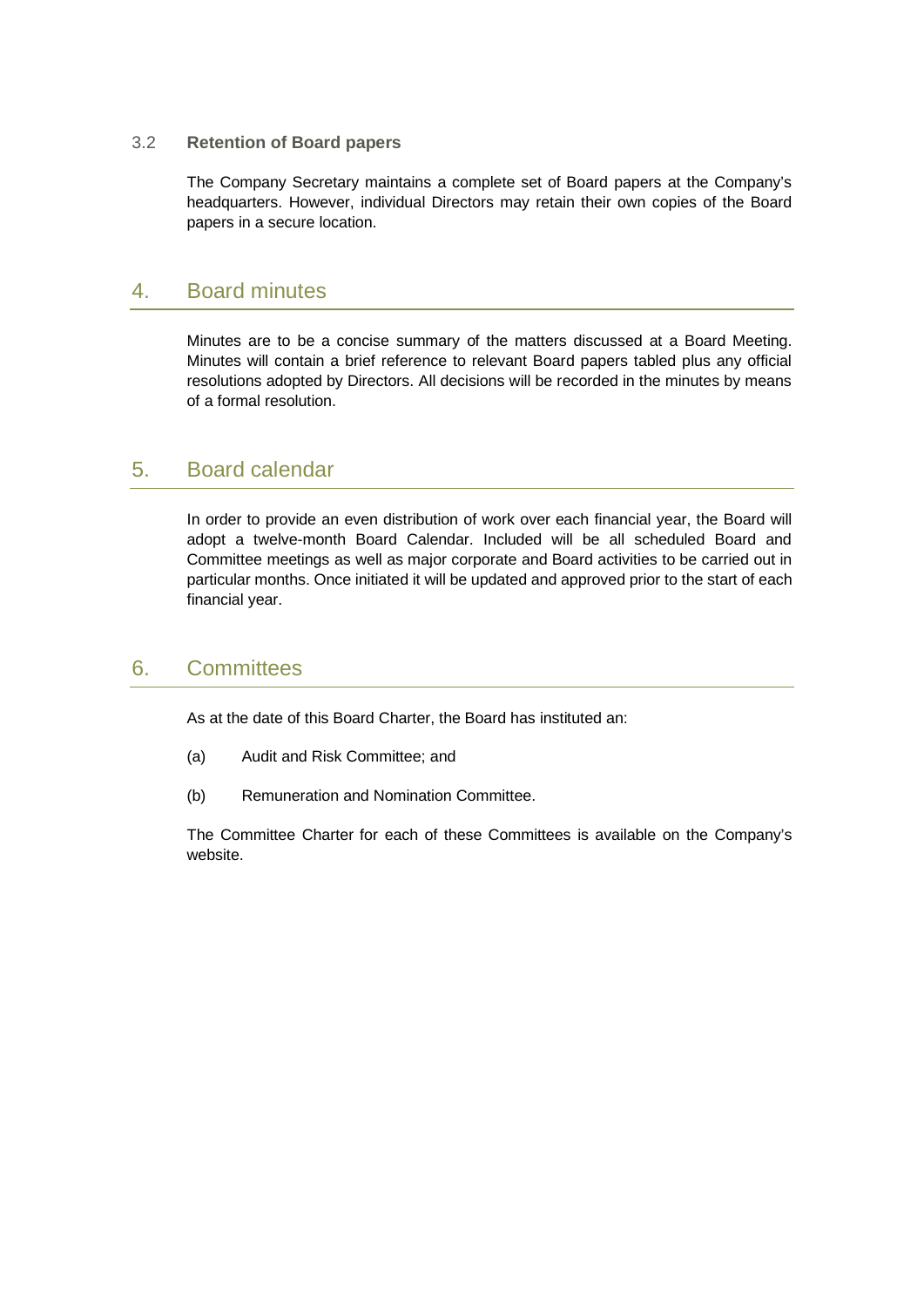### <span id="page-20-0"></span>3.2 **Retention of Board papers**

The Company Secretary maintains a complete set of Board papers at the Company's headquarters. However, individual Directors may retain their own copies of the Board papers in a secure location.

# <span id="page-20-1"></span>4. Board minutes

Minutes are to be a concise summary of the matters discussed at a Board Meeting. Minutes will contain a brief reference to relevant Board papers tabled plus any official resolutions adopted by Directors. All decisions will be recorded in the minutes by means of a formal resolution.

# <span id="page-20-2"></span>5. Board calendar

In order to provide an even distribution of work over each financial year, the Board will adopt a twelve-month Board Calendar. Included will be all scheduled Board and Committee meetings as well as major corporate and Board activities to be carried out in particular months. Once initiated it will be updated and approved prior to the start of each financial year.

# <span id="page-20-3"></span>6. Committees

As at the date of this Board Charter, the Board has instituted an:

- (a) Audit and Risk Committee; and
- (b) Remuneration and Nomination Committee.

The Committee Charter for each of these Committees is available on the Company's website.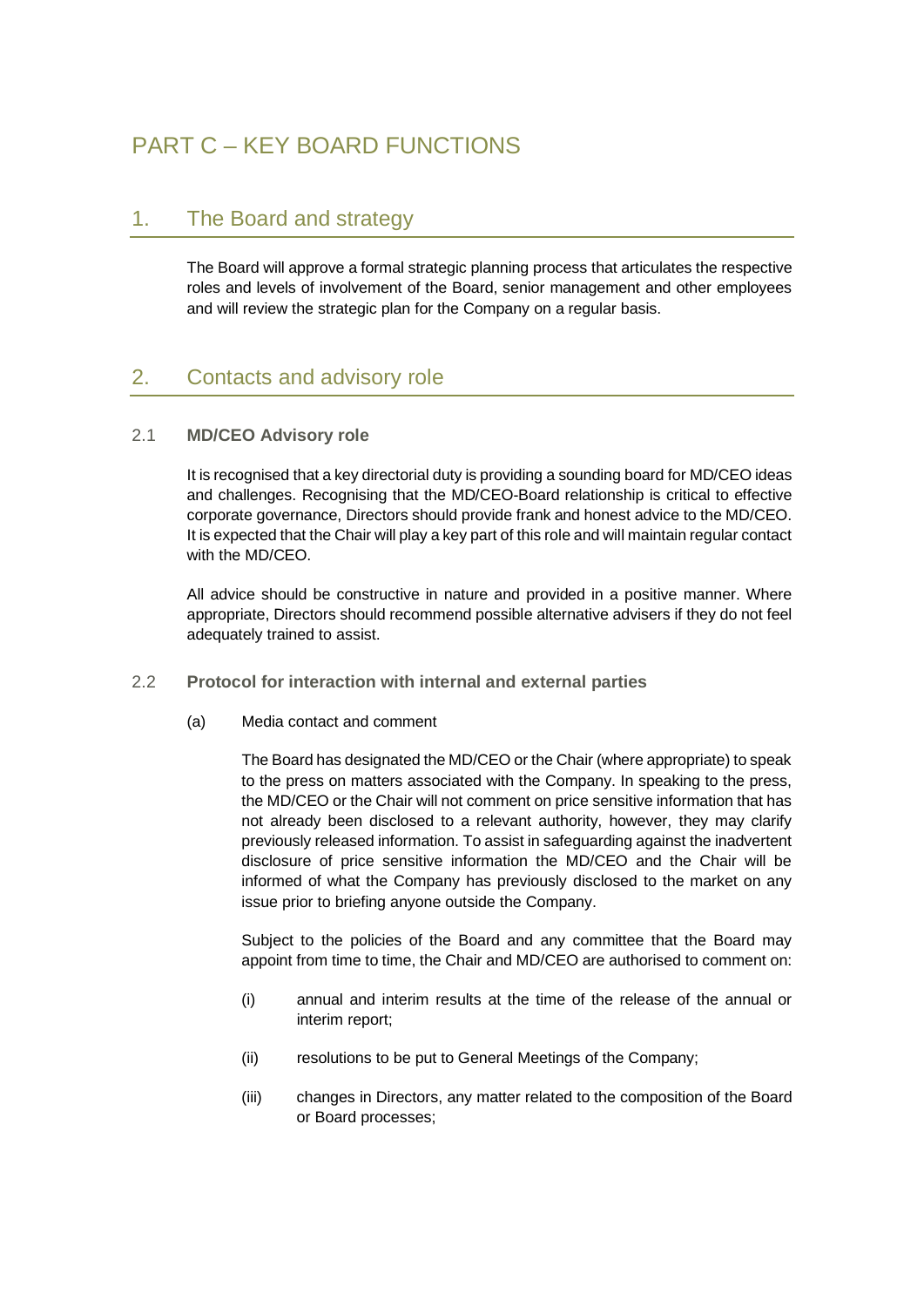# <span id="page-21-0"></span>PART C – KEY BOARD FUNCTIONS

# <span id="page-21-1"></span>1. The Board and strategy

The Board will approve a formal strategic planning process that articulates the respective roles and levels of involvement of the Board, senior management and other employees and will review the strategic plan for the Company on a regular basis.

# <span id="page-21-2"></span>2. Contacts and advisory role

## <span id="page-21-3"></span>2.1 **MD/CEO Advisory role**

It is recognised that a key directorial duty is providing a sounding board for MD/CEO ideas and challenges. Recognising that the MD/CEO-Board relationship is critical to effective corporate governance, Directors should provide frank and honest advice to the MD/CEO. It is expected that the Chair will play a key part of this role and will maintain regular contact with the MD/CFO.

All advice should be constructive in nature and provided in a positive manner. Where appropriate, Directors should recommend possible alternative advisers if they do not feel adequately trained to assist.

- <span id="page-21-4"></span>2.2 **Protocol for interaction with internal and external parties**
	- (a) Media contact and comment

The Board has designated the MD/CEO or the Chair (where appropriate) to speak to the press on matters associated with the Company. In speaking to the press, the MD/CEO or the Chair will not comment on price sensitive information that has not already been disclosed to a relevant authority, however, they may clarify previously released information. To assist in safeguarding against the inadvertent disclosure of price sensitive information the MD/CEO and the Chair will be informed of what the Company has previously disclosed to the market on any issue prior to briefing anyone outside the Company.

Subject to the policies of the Board and any committee that the Board may appoint from time to time, the Chair and MD/CEO are authorised to comment on:

- (i) annual and interim results at the time of the release of the annual or interim report;
- (ii) resolutions to be put to General Meetings of the Company;
- (iii) changes in Directors, any matter related to the composition of the Board or Board processes;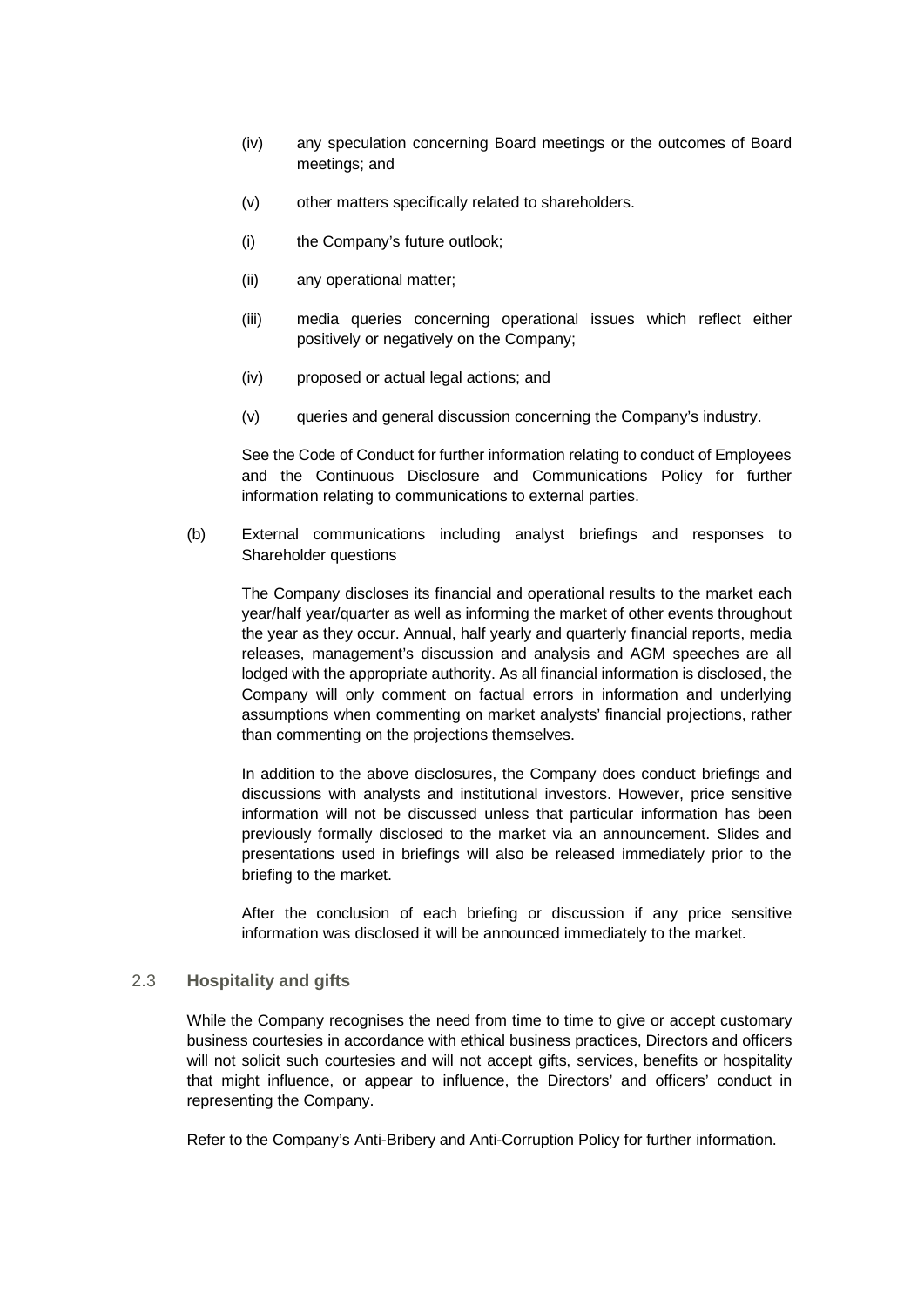- (iv) any speculation concerning Board meetings or the outcomes of Board meetings; and
- (v) other matters specifically related to shareholders.
- (i) the Company's future outlook;
- (ii) any operational matter;
- (iii) media queries concerning operational issues which reflect either positively or negatively on the Company;
- (iv) proposed or actual legal actions; and
- (v) queries and general discussion concerning the Company's industry.

See the Code of Conduct for further information relating to conduct of Employees and the Continuous Disclosure and Communications Policy for further information relating to communications to external parties.

(b) External communications including analyst briefings and responses to Shareholder questions

The Company discloses its financial and operational results to the market each year/half year/quarter as well as informing the market of other events throughout the year as they occur. Annual, half yearly and quarterly financial reports, media releases, management's discussion and analysis and AGM speeches are all lodged with the appropriate authority. As all financial information is disclosed, the Company will only comment on factual errors in information and underlying assumptions when commenting on market analysts' financial projections, rather than commenting on the projections themselves.

In addition to the above disclosures, the Company does conduct briefings and discussions with analysts and institutional investors. However, price sensitive information will not be discussed unless that particular information has been previously formally disclosed to the market via an announcement. Slides and presentations used in briefings will also be released immediately prior to the briefing to the market.

After the conclusion of each briefing or discussion if any price sensitive information was disclosed it will be announced immediately to the market.

### <span id="page-22-0"></span>2.3 **Hospitality and gifts**

While the Company recognises the need from time to time to give or accept customary business courtesies in accordance with ethical business practices, Directors and officers will not solicit such courtesies and will not accept gifts, services, benefits or hospitality that might influence, or appear to influence, the Directors' and officers' conduct in representing the Company.

Refer to the Company's Anti-Bribery and Anti-Corruption Policy for further information.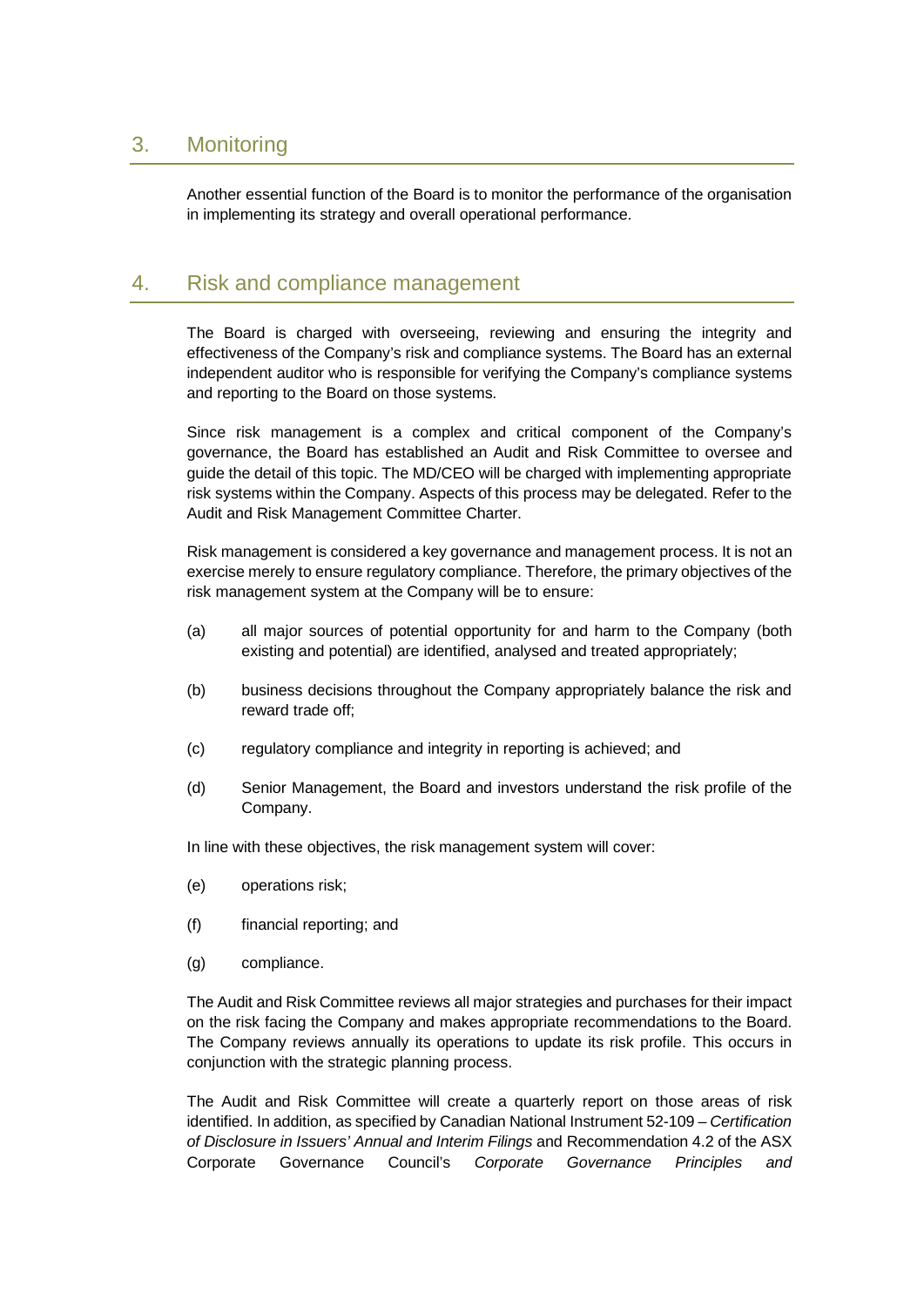# <span id="page-23-0"></span>3. Monitoring

Another essential function of the Board is to monitor the performance of the organisation in implementing its strategy and overall operational performance.

# <span id="page-23-1"></span>4. Risk and compliance management

The Board is charged with overseeing, reviewing and ensuring the integrity and effectiveness of the Company's risk and compliance systems. The Board has an external independent auditor who is responsible for verifying the Company's compliance systems and reporting to the Board on those systems.

Since risk management is a complex and critical component of the Company's governance, the Board has established an Audit and Risk Committee to oversee and guide the detail of this topic. The MD/CEO will be charged with implementing appropriate risk systems within the Company. Aspects of this process may be delegated. Refer to the Audit and Risk Management Committee Charter.

Risk management is considered a key governance and management process. It is not an exercise merely to ensure regulatory compliance. Therefore, the primary objectives of the risk management system at the Company will be to ensure:

- (a) all major sources of potential opportunity for and harm to the Company (both existing and potential) are identified, analysed and treated appropriately;
- (b) business decisions throughout the Company appropriately balance the risk and reward trade off;
- (c) regulatory compliance and integrity in reporting is achieved; and
- (d) Senior Management, the Board and investors understand the risk profile of the Company.

In line with these objectives, the risk management system will cover:

- (e) operations risk;
- (f) financial reporting; and
- (g) compliance.

The Audit and Risk Committee reviews all major strategies and purchases for their impact on the risk facing the Company and makes appropriate recommendations to the Board. The Company reviews annually its operations to update its risk profile. This occurs in conjunction with the strategic planning process.

The Audit and Risk Committee will create a quarterly report on those areas of risk identified. In addition, as specified by Canadian National Instrument 52-109 – *Certification of Disclosure in Issuers' Annual and Interim Filings* and Recommendation 4.2 of the ASX Corporate Governance Council's *Corporate Governance Principles and*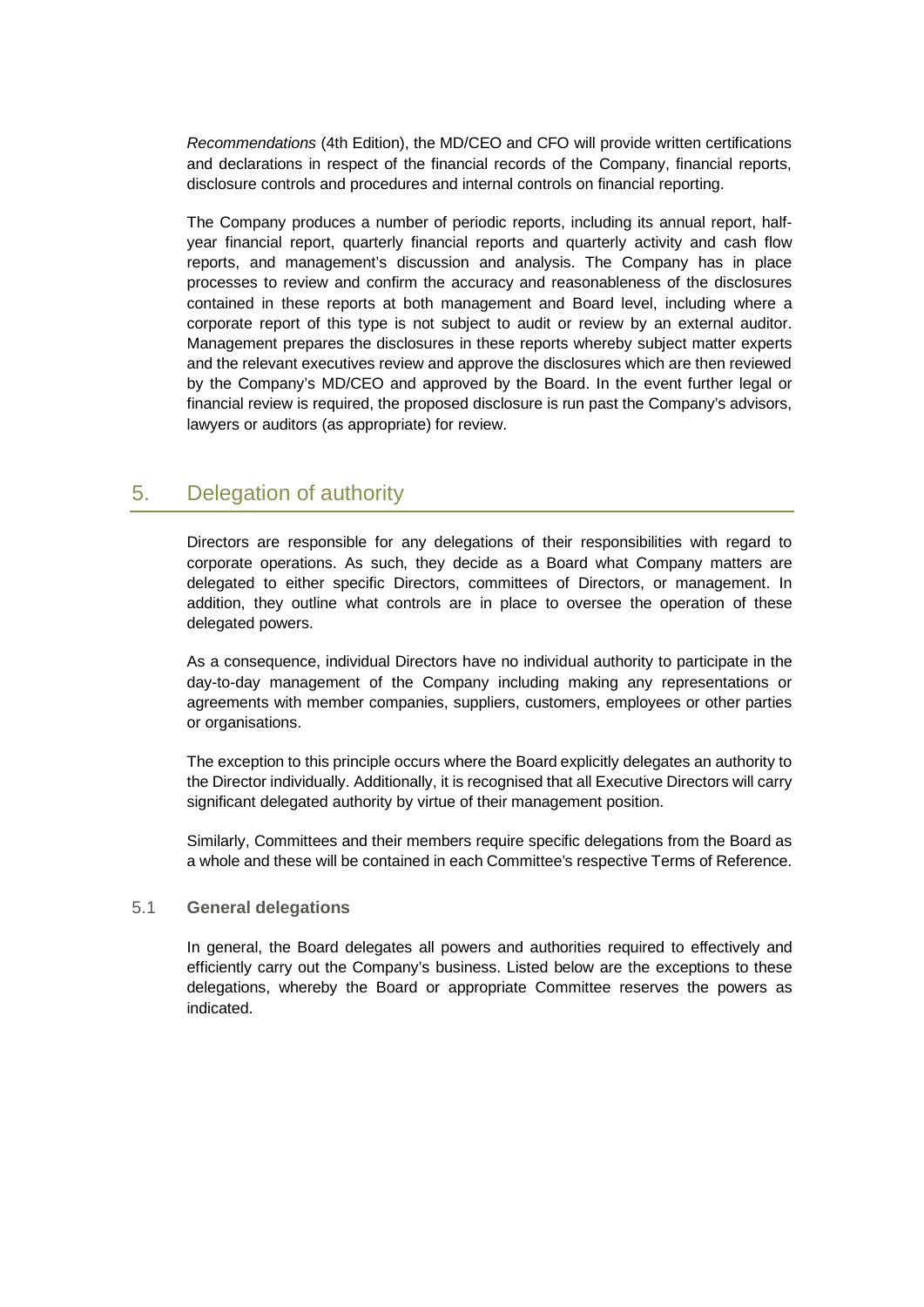*Recommendations* (4th Edition), the MD/CEO and CFO will provide written certifications and declarations in respect of the financial records of the Company, financial reports, disclosure controls and procedures and internal controls on financial reporting.

The Company produces a number of periodic reports, including its annual report, halfyear financial report, quarterly financial reports and quarterly activity and cash flow reports, and management's discussion and analysis. The Company has in place processes to review and confirm the accuracy and reasonableness of the disclosures contained in these reports at both management and Board level, including where a corporate report of this type is not subject to audit or review by an external auditor. Management prepares the disclosures in these reports whereby subject matter experts and the relevant executives review and approve the disclosures which are then reviewed by the Company's MD/CEO and approved by the Board. In the event further legal or financial review is required, the proposed disclosure is run past the Company's advisors, lawyers or auditors (as appropriate) for review.

# <span id="page-24-0"></span>5. Delegation of authority

Directors are responsible for any delegations of their responsibilities with regard to corporate operations. As such, they decide as a Board what Company matters are delegated to either specific Directors, committees of Directors, or management. In addition, they outline what controls are in place to oversee the operation of these delegated powers.

As a consequence, individual Directors have no individual authority to participate in the day-to-day management of the Company including making any representations or agreements with member companies, suppliers, customers, employees or other parties or organisations.

The exception to this principle occurs where the Board explicitly delegates an authority to the Director individually. Additionally, it is recognised that all Executive Directors will carry significant delegated authority by virtue of their management position.

Similarly, Committees and their members require specific delegations from the Board as a whole and these will be contained in each Committee's respective Terms of Reference.

### <span id="page-24-1"></span>5.1 **General delegations**

In general, the Board delegates all powers and authorities required to effectively and efficiently carry out the Company's business. Listed below are the exceptions to these delegations, whereby the Board or appropriate Committee reserves the powers as indicated.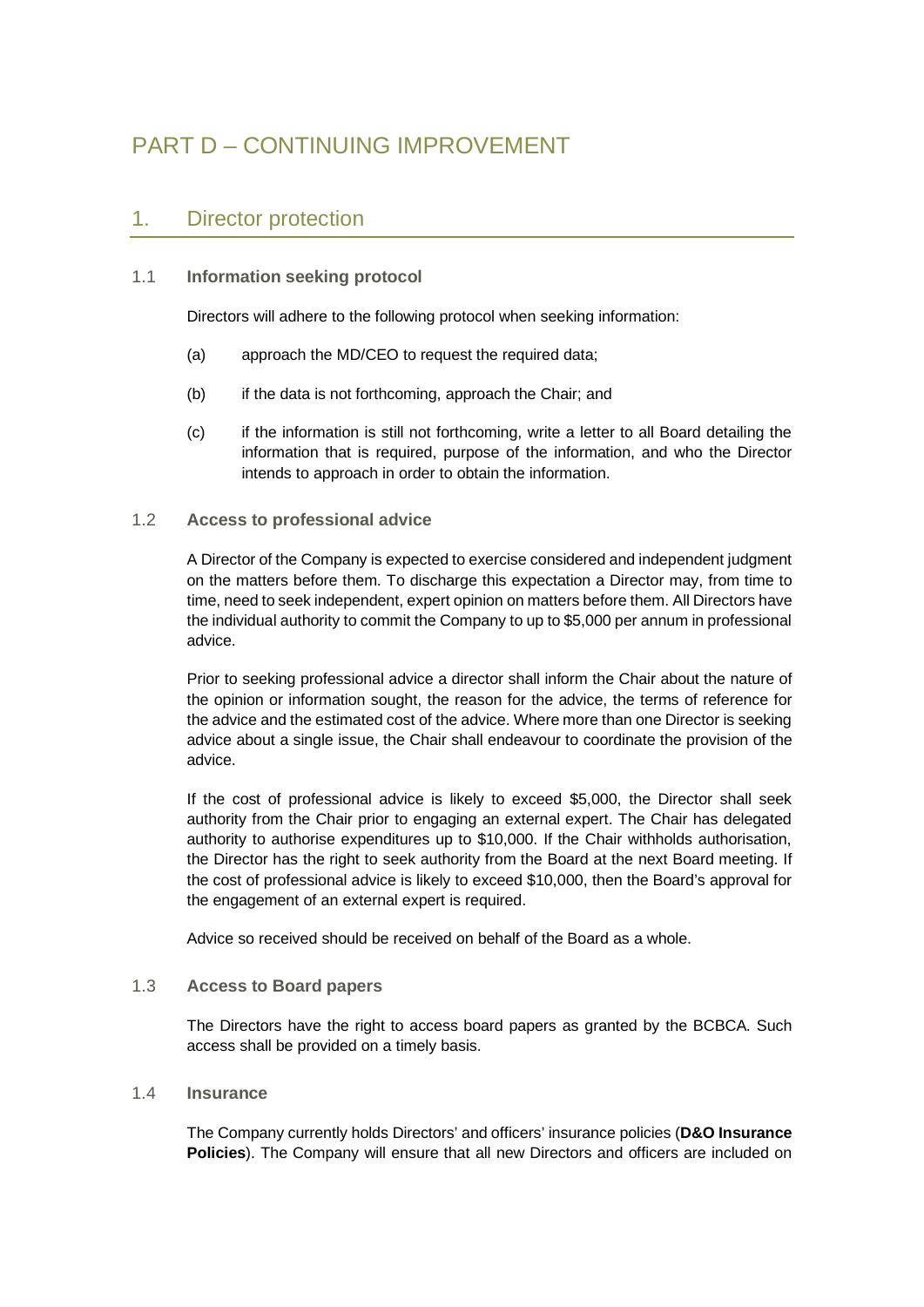# <span id="page-25-0"></span>PART D – CONTINUING IMPROVEMENT

# <span id="page-25-1"></span>1. Director protection

## <span id="page-25-2"></span>1.1 **Information seeking protocol**

Directors will adhere to the following protocol when seeking information:

- (a) approach the MD/CEO to request the required data;
- (b) if the data is not forthcoming, approach the Chair; and
- (c) if the information is still not forthcoming, write a letter to all Board detailing the information that is required, purpose of the information, and who the Director intends to approach in order to obtain the information.

### <span id="page-25-3"></span>1.2 **Access to professional advice**

A Director of the Company is expected to exercise considered and independent judgment on the matters before them. To discharge this expectation a Director may, from time to time, need to seek independent, expert opinion on matters before them. All Directors have the individual authority to commit the Company to up to \$5,000 per annum in professional advice.

Prior to seeking professional advice a director shall inform the Chair about the nature of the opinion or information sought, the reason for the advice, the terms of reference for the advice and the estimated cost of the advice. Where more than one Director is seeking advice about a single issue, the Chair shall endeavour to coordinate the provision of the advice.

If the cost of professional advice is likely to exceed \$5,000, the Director shall seek authority from the Chair prior to engaging an external expert. The Chair has delegated authority to authorise expenditures up to \$10,000. If the Chair withholds authorisation, the Director has the right to seek authority from the Board at the next Board meeting. If the cost of professional advice is likely to exceed \$10,000, then the Board's approval for the engagement of an external expert is required.

Advice so received should be received on behalf of the Board as a whole.

### <span id="page-25-4"></span>1.3 **Access to Board papers**

The Directors have the right to access board papers as granted by the BCBCA. Such access shall be provided on a timely basis.

### <span id="page-25-5"></span>1.4 **Insurance**

The Company currently holds Directors' and officers' insurance policies (**D&O Insurance Policies**). The Company will ensure that all new Directors and officers are included on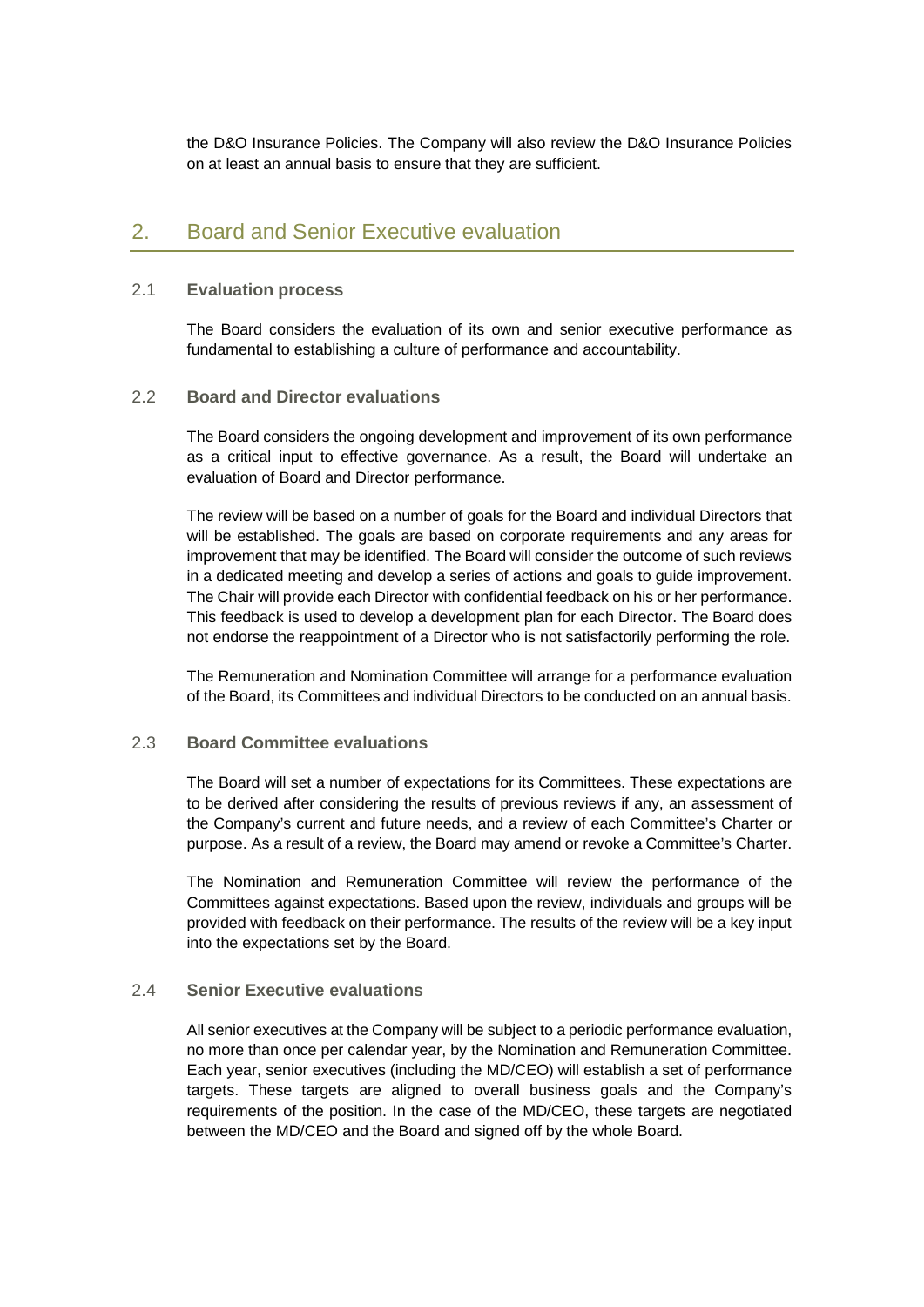the D&O Insurance Policies. The Company will also review the D&O Insurance Policies on at least an annual basis to ensure that they are sufficient.

# <span id="page-26-0"></span>2. Board and Senior Executive evaluation

### <span id="page-26-1"></span>2.1 **Evaluation process**

The Board considers the evaluation of its own and senior executive performance as fundamental to establishing a culture of performance and accountability.

#### <span id="page-26-2"></span>2.2 **Board and Director evaluations**

The Board considers the ongoing development and improvement of its own performance as a critical input to effective governance. As a result, the Board will undertake an evaluation of Board and Director performance.

The review will be based on a number of goals for the Board and individual Directors that will be established. The goals are based on corporate requirements and any areas for improvement that may be identified. The Board will consider the outcome of such reviews in a dedicated meeting and develop a series of actions and goals to guide improvement. The Chair will provide each Director with confidential feedback on his or her performance. This feedback is used to develop a development plan for each Director. The Board does not endorse the reappointment of a Director who is not satisfactorily performing the role.

The Remuneration and Nomination Committee will arrange for a performance evaluation of the Board, its Committees and individual Directors to be conducted on an annual basis.

### <span id="page-26-3"></span>2.3 **Board Committee evaluations**

The Board will set a number of expectations for its Committees. These expectations are to be derived after considering the results of previous reviews if any, an assessment of the Company's current and future needs, and a review of each Committee's Charter or purpose. As a result of a review, the Board may amend or revoke a Committee's Charter.

The Nomination and Remuneration Committee will review the performance of the Committees against expectations. Based upon the review, individuals and groups will be provided with feedback on their performance. The results of the review will be a key input into the expectations set by the Board.

#### <span id="page-26-4"></span>2.4 **Senior Executive evaluations**

All senior executives at the Company will be subject to a periodic performance evaluation, no more than once per calendar year, by the Nomination and Remuneration Committee. Each year, senior executives (including the MD/CEO) will establish a set of performance targets. These targets are aligned to overall business goals and the Company's requirements of the position. In the case of the MD/CEO, these targets are negotiated between the MD/CEO and the Board and signed off by the whole Board.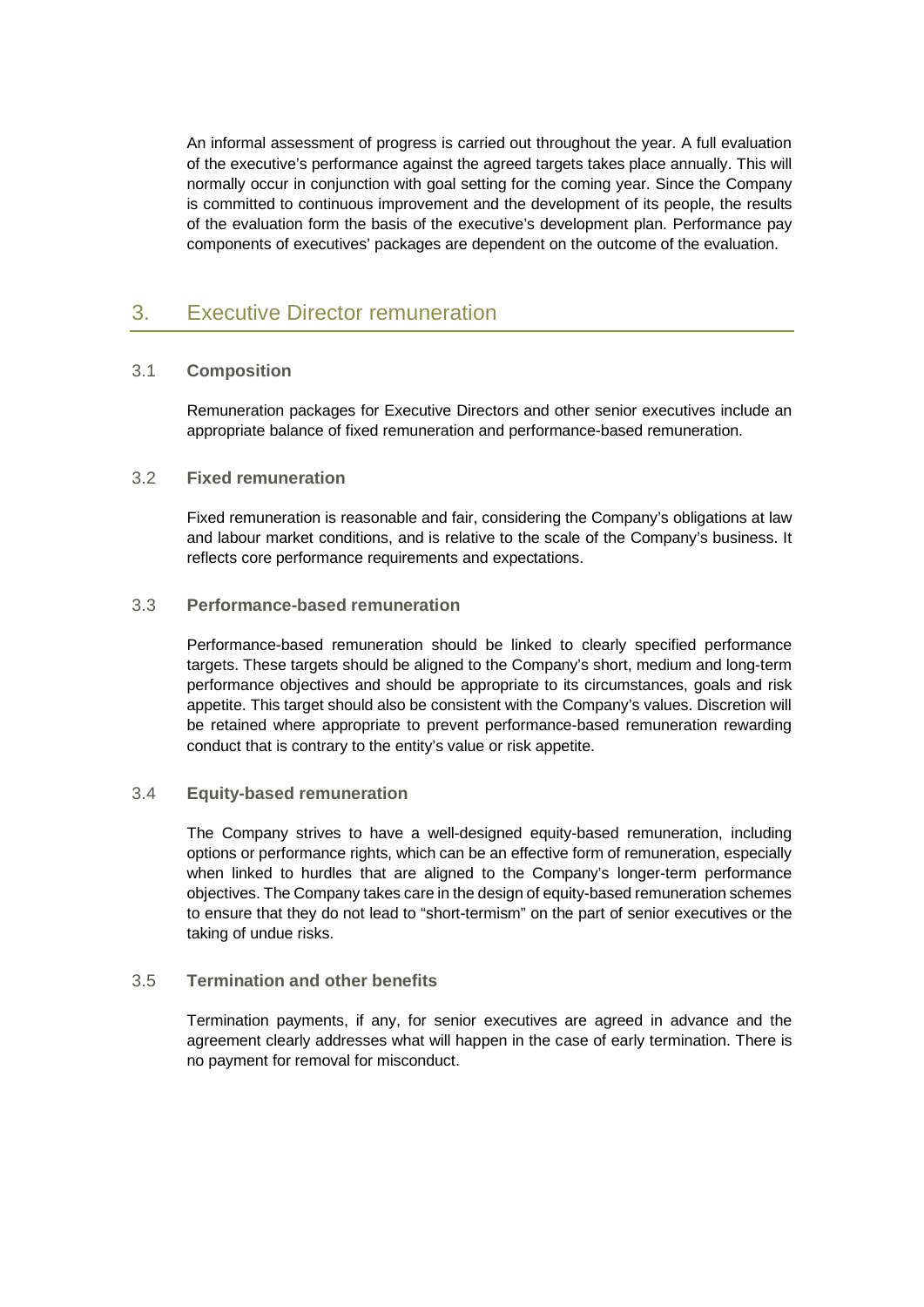An informal assessment of progress is carried out throughout the year. A full evaluation of the executive's performance against the agreed targets takes place annually. This will normally occur in conjunction with goal setting for the coming year. Since the Company is committed to continuous improvement and the development of its people, the results of the evaluation form the basis of the executive's development plan. Performance pay components of executives' packages are dependent on the outcome of the evaluation.

# <span id="page-27-0"></span>3. Executive Director remuneration

## <span id="page-27-1"></span>3.1 **Composition**

Remuneration packages for Executive Directors and other senior executives include an appropriate balance of fixed remuneration and performance-based remuneration.

### <span id="page-27-2"></span>3.2 **Fixed remuneration**

Fixed remuneration is reasonable and fair, considering the Company's obligations at law and labour market conditions, and is relative to the scale of the Company's business. It reflects core performance requirements and expectations.

### <span id="page-27-3"></span>3.3 **Performance-based remuneration**

Performance-based remuneration should be linked to clearly specified performance targets. These targets should be aligned to the Company's short, medium and long-term performance objectives and should be appropriate to its circumstances, goals and risk appetite. This target should also be consistent with the Company's values. Discretion will be retained where appropriate to prevent performance-based remuneration rewarding conduct that is contrary to the entity's value or risk appetite.

### <span id="page-27-4"></span>3.4 **Equity-based remuneration**

The Company strives to have a well-designed equity-based remuneration, including options or performance rights, which can be an effective form of remuneration, especially when linked to hurdles that are aligned to the Company's longer-term performance objectives. The Company takes care in the design of equity-based remuneration schemes to ensure that they do not lead to "short-termism" on the part of senior executives or the taking of undue risks.

### <span id="page-27-5"></span>3.5 **Termination and other benefits**

Termination payments, if any, for senior executives are agreed in advance and the agreement clearly addresses what will happen in the case of early termination. There is no payment for removal for misconduct.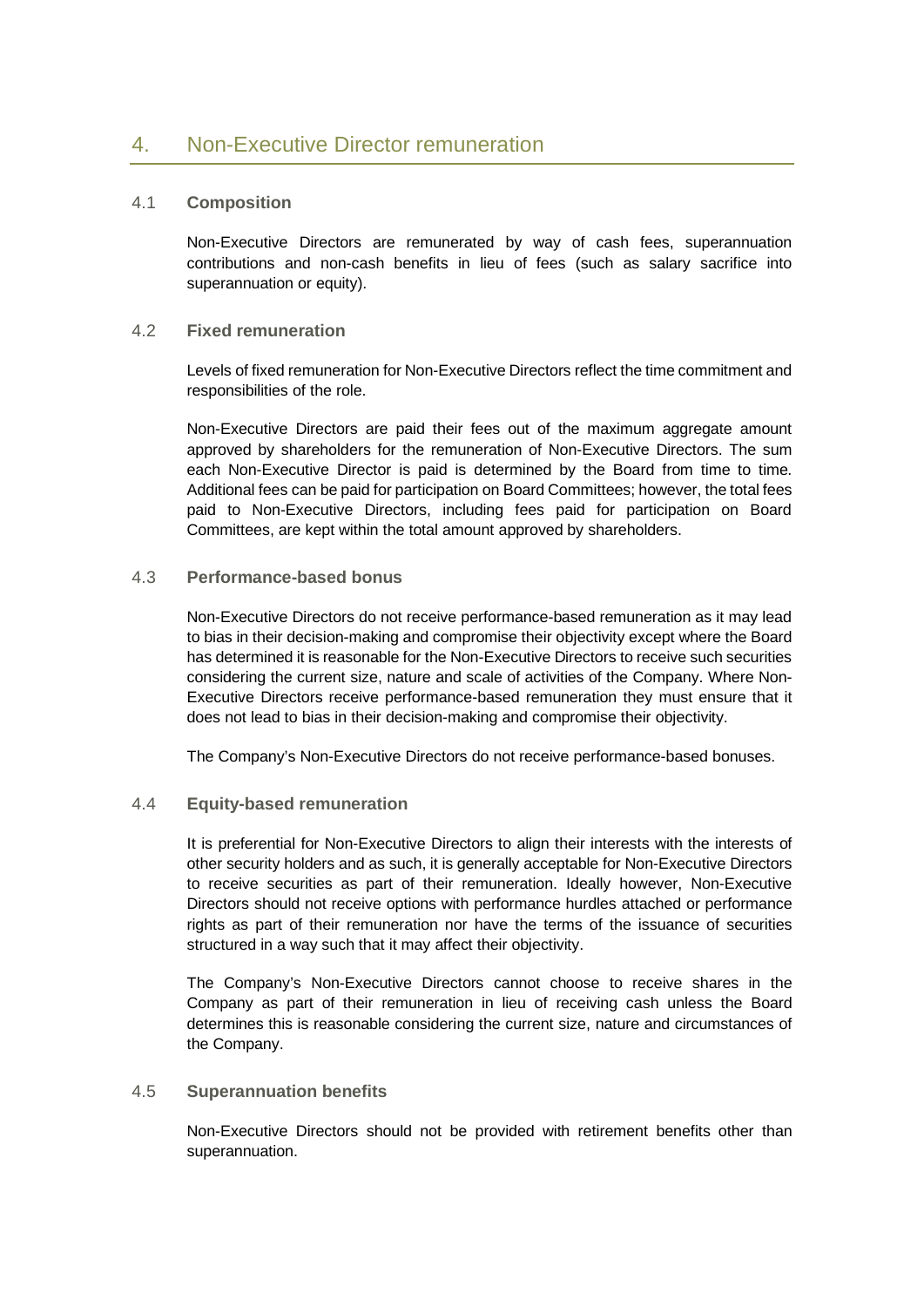## <span id="page-28-1"></span><span id="page-28-0"></span>4.1 **Composition**

Non-Executive Directors are remunerated by way of cash fees, superannuation contributions and non-cash benefits in lieu of fees (such as salary sacrifice into superannuation or equity).

### <span id="page-28-2"></span>4.2 **Fixed remuneration**

Levels of fixed remuneration for Non-Executive Directors reflect the time commitment and responsibilities of the role.

Non-Executive Directors are paid their fees out of the maximum aggregate amount approved by shareholders for the remuneration of Non-Executive Directors. The sum each Non-Executive Director is paid is determined by the Board from time to time. Additional fees can be paid for participation on Board Committees; however, the total fees paid to Non-Executive Directors, including fees paid for participation on Board Committees, are kept within the total amount approved by shareholders.

## <span id="page-28-3"></span>4.3 **Performance-based bonus**

Non-Executive Directors do not receive performance-based remuneration as it may lead to bias in their decision-making and compromise their objectivity except where the Board has determined it is reasonable for the Non-Executive Directors to receive such securities considering the current size, nature and scale of activities of the Company. Where Non-Executive Directors receive performance-based remuneration they must ensure that it does not lead to bias in their decision-making and compromise their objectivity.

The Company's Non-Executive Directors do not receive performance-based bonuses.

### <span id="page-28-4"></span>4.4 **Equity-based remuneration**

It is preferential for Non-Executive Directors to align their interests with the interests of other security holders and as such, it is generally acceptable for Non-Executive Directors to receive securities as part of their remuneration. Ideally however, Non-Executive Directors should not receive options with performance hurdles attached or performance rights as part of their remuneration nor have the terms of the issuance of securities structured in a way such that it may affect their objectivity.

The Company's Non-Executive Directors cannot choose to receive shares in the Company as part of their remuneration in lieu of receiving cash unless the Board determines this is reasonable considering the current size, nature and circumstances of the Company.

### <span id="page-28-5"></span>4.5 **Superannuation benefits**

Non-Executive Directors should not be provided with retirement benefits other than superannuation.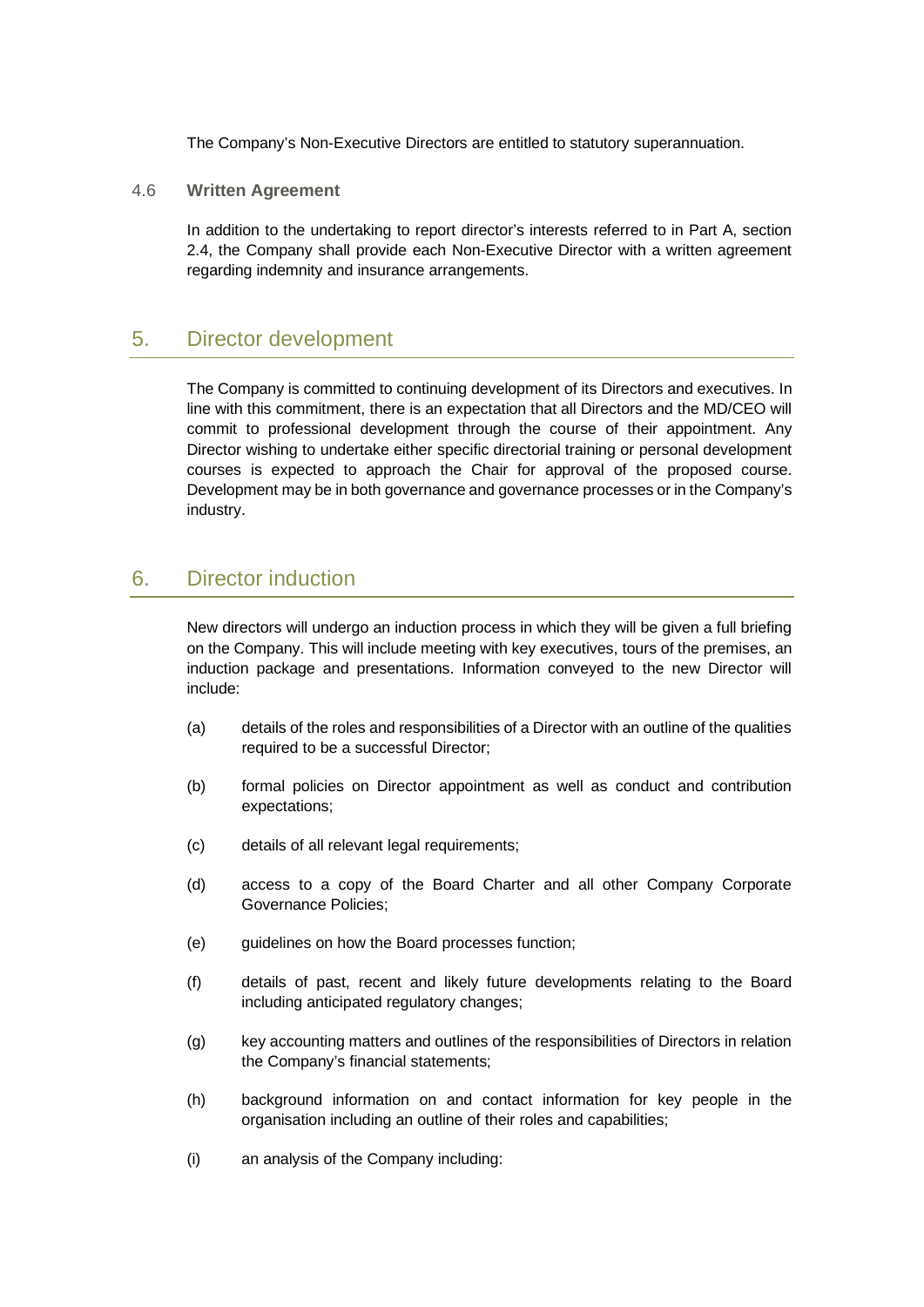The Company's Non-Executive Directors are entitled to statutory superannuation.

<span id="page-29-0"></span>4.6 **Written Agreement**

In addition to the undertaking to report director's interests referred to in Part A, section [2.4,](#page-10-0) the Company shall provide each Non-Executive Director with a written agreement regarding indemnity and insurance arrangements.

# <span id="page-29-1"></span>5. Director development

The Company is committed to continuing development of its Directors and executives. In line with this commitment, there is an expectation that all Directors and the MD/CEO will commit to professional development through the course of their appointment. Any Director wishing to undertake either specific directorial training or personal development courses is expected to approach the Chair for approval of the proposed course. Development may be in both governance and governance processes or in the Company's industry.

# <span id="page-29-2"></span>6. Director induction

New directors will undergo an induction process in which they will be given a full briefing on the Company. This will include meeting with key executives, tours of the premises, an induction package and presentations. Information conveyed to the new Director will include:

- (a) details of the roles and responsibilities of a Director with an outline of the qualities required to be a successful Director;
- (b) formal policies on Director appointment as well as conduct and contribution expectations;
- (c) details of all relevant legal requirements;
- (d) access to a copy of the Board Charter and all other Company Corporate Governance Policies;
- (e) guidelines on how the Board processes function;
- (f) details of past, recent and likely future developments relating to the Board including anticipated regulatory changes;
- (g) key accounting matters and outlines of the responsibilities of Directors in relation the Company's financial statements;
- (h) background information on and contact information for key people in the organisation including an outline of their roles and capabilities;
- (i) an analysis of the Company including: